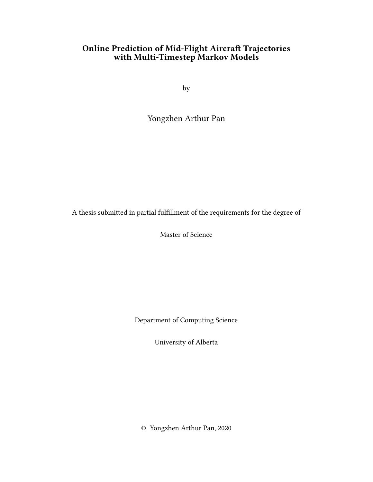### Online Prediction of Mid-Flight Aircraft Trajectories with Multi-Timestep Markov Models

by

Yongzhen Arthur Pan

A thesis submitted in partial fulfillment of the requirements for the degree of

Master of Science

Department of Computing Science

University of Alberta

© Yongzhen Arthur Pan, 2020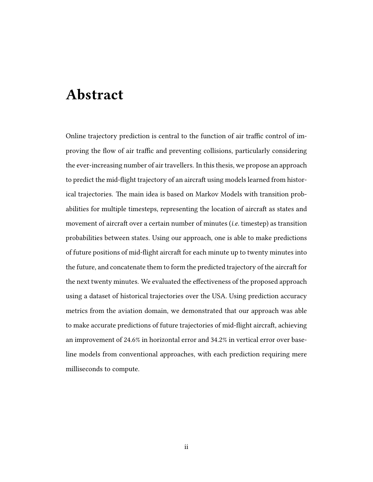# Abstract

Online trajectory prediction is central to the function of air traffic control of improving the flow of air traffic and preventing collisions, particularly considering the ever-increasing number of air travellers. In this thesis, we propose an approach to predict the mid-flight trajectory of an aircraft using models learned from historical trajectories. The main idea is based on Markov Models with transition probabilities for multiple timesteps, representing the location of aircraft as states and movement of aircraft over a certain number of minutes (*i.e.* timestep) as transition probabilities between states. Using our approach, one is able to make predictions of future positions of mid-flight aircraft for each minute up to twenty minutes into the future, and concatenate them to form the predicted trajectory of the aircraft for the next twenty minutes. We evaluated the effectiveness of the proposed approach using a dataset of historical trajectories over the USA. Using prediction accuracy metrics from the aviation domain, we demonstrated that our approach was able to make accurate predictions of future trajectories of mid-flight aircraft, achieving an improvement of 24.6% in horizontal error and 34.2% in vertical error over baseline models from conventional approaches, with each prediction requiring mere milliseconds to compute.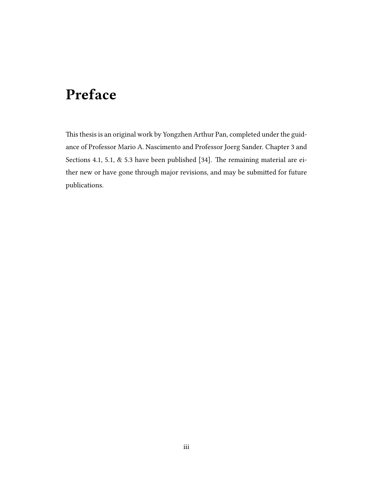# Preface

This thesis is an original work by Yongzhen Arthur Pan, completed under the guidance of Professor Mario A. Nascimento and Professor Joerg Sander. Chapter 3 and Sections 4.1, 5.1,  $\&$  5.3 have been published [34]. The remaining material are either new or have gone through major revisions, and may be submitted for future publications.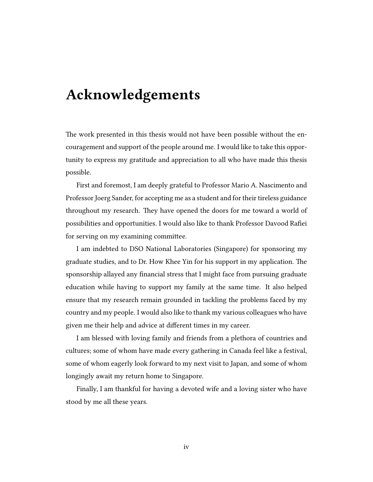# Acknowledgements

The work presented in this thesis would not have been possible without the encouragement and support of the people around me. I would like to take this opportunity to express my gratitude and appreciation to all who have made this thesis possible.

First and foremost, I am deeply grateful to Professor Mario A. Nascimento and Professor Joerg Sander, for accepting me as a student and for their tireless guidance throughout my research. They have opened the doors for me toward a world of possibilities and opportunities. I would also like to thank Professor Davood Rafiei for serving on my examining committee.

I am indebted to DSO National Laboratories (Singapore) for sponsoring my graduate studies, and to Dr. How Khee Yin for his support in my application. The sponsorship allayed any financial stress that I might face from pursuing graduate education while having to support my family at the same time. It also helped ensure that my research remain grounded in tackling the problems faced by my country and my people. I would also like to thank my various colleagues who have given me their help and advice at different times in my career.

I am blessed with loving family and friends from a plethora of countries and cultures; some of whom have made every gathering in Canada feel like a festival, some of whom eagerly look forward to my next visit to Japan, and some of whom longingly await my return home to Singapore.

Finally, I am thankful for having a devoted wife and a loving sister who have stood by me all these years.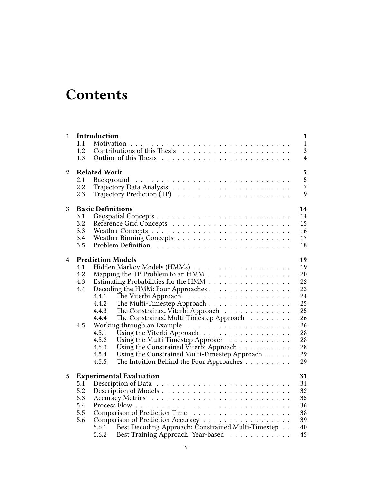# **Contents**

| $\mathbf{1}$     | 1.1<br>1.2<br>1.3                      | Introduction<br>$\mathbf{1}$<br>$\mathbf{1}$<br>3<br>$\overline{4}$                                                                                                                                                                                                                                                                                                                                                                                                                                                                                                                                                                          |
|------------------|----------------------------------------|----------------------------------------------------------------------------------------------------------------------------------------------------------------------------------------------------------------------------------------------------------------------------------------------------------------------------------------------------------------------------------------------------------------------------------------------------------------------------------------------------------------------------------------------------------------------------------------------------------------------------------------------|
| $\boldsymbol{2}$ | 2.1<br>2.2<br>2.3                      | $\overline{\mathbf{5}}$<br><b>Related Work</b><br>5<br>$\overline{7}$<br>9                                                                                                                                                                                                                                                                                                                                                                                                                                                                                                                                                                   |
| 3                | 3.1<br>3.2<br>3.3<br>3.4<br>3.5        | <b>Basic Definitions</b><br>14<br>14<br>15<br>16<br>17<br>18                                                                                                                                                                                                                                                                                                                                                                                                                                                                                                                                                                                 |
| 4                | 4.1<br>4.2<br>4.3<br>4.4<br>4.5        | <b>Prediction Models</b><br>19<br>19<br>Mapping the TP Problem to an HMM<br>20<br>22<br>Estimating Probabilities for the HMM<br>Decoding the HMM: Four Approaches<br>23<br>24<br>4.4.1<br>The Multi-Timestep Approach<br>25<br>4.4.2<br>The Constrained Viterbi Approach<br>25<br>4.4.3<br>The Constrained Multi-Timestep Approach<br>26<br>4.4.4<br>26<br>Using the Viterbi Approach<br>28<br>4.5.1<br>28<br>4.5.2<br>Using the Multi-Timestep Approach<br>Using the Constrained Viterbi Approach<br>28<br>4.5.3<br>Using the Constrained Multi-Timestep Approach<br>29<br>4.5.4<br>The Intuition Behind the Four Approaches<br>29<br>4.5.5 |
| 5                | 5.1<br>5.2<br>5.3<br>5.4<br>5.5<br>5.6 | <b>Experimental Evaluation</b><br>31<br>31<br>32<br>35<br>36<br>38<br>39<br>Comparison of Prediction Accuracy<br>Best Decoding Approach: Constrained Multi-Timestep<br>40<br>5.6.1<br>Best Training Approach: Year-based<br>45<br>5.6.2                                                                                                                                                                                                                                                                                                                                                                                                      |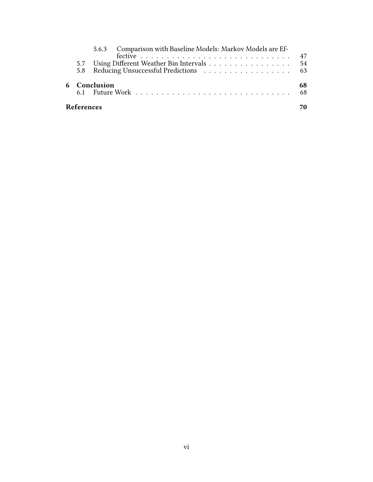|                   | 5.6.3 Comparison with Baseline Models: Markov Models are Ef- |           |
|-------------------|--------------------------------------------------------------|-----------|
|                   |                                                              |           |
|                   | 5.7 Using Different Weather Bin Intervals 54                 |           |
|                   |                                                              |           |
|                   | 6 Conclusion                                                 | 68<br>-68 |
| <b>References</b> |                                                              |           |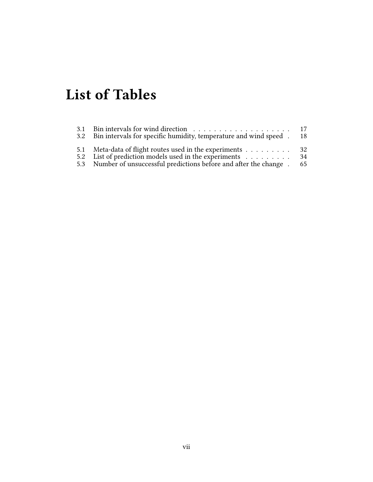# List of Tables

| 3.2 Bin intervals for specific humidity, temperature and wind speed .                                                                                                                     | - 18     |
|-------------------------------------------------------------------------------------------------------------------------------------------------------------------------------------------|----------|
| 5.1 Meta-data of flight routes used in the experiments 32<br>5.2 List of prediction models used in the experiments<br>5.3 Number of unsuccessful predictions before and after the change. | 34<br>65 |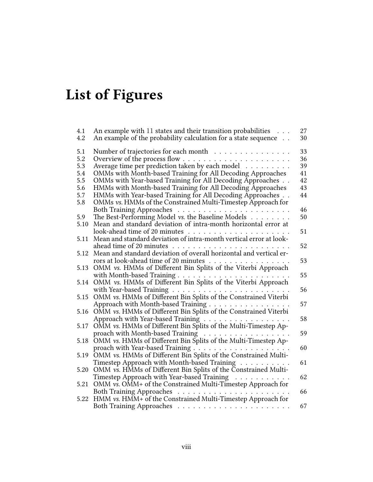# List of Figures

| 4.1  | An example with 11 states and their transition probabilities                                                                                   | 27 |
|------|------------------------------------------------------------------------------------------------------------------------------------------------|----|
| 4.2  | An example of the probability calculation for a state sequence                                                                                 | 30 |
| 5.1  | Number of trajectories for each month $\ldots \ldots \ldots \ldots$                                                                            | 33 |
| 5.2  |                                                                                                                                                | 36 |
| 5.3  | Average time per prediction taken by each model                                                                                                | 39 |
| 5.4  | OMMs with Month-based Training for All Decoding Approaches                                                                                     | 41 |
| 5.5  | OMMs with Year-based Training for All Decoding Approaches                                                                                      | 42 |
| 5.6  | HMMs with Month-based Training for All Decoding Approaches                                                                                     | 43 |
| 5.7  | HMMs with Year-based Training for All Decoding Approaches                                                                                      | 44 |
| 5.8  | OMMs vs. HMMs of the Constrained Multi-Timestep Approach for                                                                                   |    |
|      |                                                                                                                                                | 46 |
| 5.9  | The Best-Performing Model vs. the Baseline Models                                                                                              | 50 |
| 5.10 | Mean and standard deviation of intra-month horizontal error at                                                                                 |    |
|      |                                                                                                                                                | 51 |
| 5.11 | Mean and standard deviation of intra-month vertical error at look-                                                                             |    |
|      |                                                                                                                                                | 52 |
| 5.12 | Mean and standard deviation of overall horizontal and vertical er-                                                                             |    |
|      | rors at look-ahead time of 20 minutes                                                                                                          | 53 |
| 5.13 | OMM vs. HMMs of Different Bin Splits of the Viterbi Approach                                                                                   |    |
|      |                                                                                                                                                | 55 |
| 5.14 | OMM vs. HMMs of Different Bin Splits of the Viterbi Approach                                                                                   |    |
|      | with Year-based Training                                                                                                                       | 56 |
| 5.15 | OMM vs. HMMs of Different Bin Splits of the Constrained Viterbi                                                                                |    |
|      | Approach with Month-based Training                                                                                                             | 57 |
| 5.16 | OMM vs. HMMs of Different Bin Splits of the Constrained Viterbi                                                                                | 58 |
| 5.17 | Approach with Year-based Training                                                                                                              |    |
|      | OMM vs. HMMs of Different Bin Splits of the Multi-Timestep Ap-<br>proach with Month-based Training $\ldots \ldots \ldots \ldots \ldots \ldots$ | 59 |
| 5.18 | OMM vs. HMMs of Different Bin Splits of the Multi-Timestep Ap-                                                                                 |    |
|      |                                                                                                                                                | 60 |
| 5.19 | OMM vs. HMMs of Different Bin Splits of the Constrained Multi-                                                                                 |    |
|      | Timestep Approach with Month-based Training                                                                                                    | 61 |
| 5.20 | OMM vs. HMMs of Different Bin Splits of the Constrained Multi-                                                                                 |    |
|      | Timestep Approach with Year-based Training                                                                                                     | 62 |
| 5.21 | OMM vs. OMM+ of the Constrained Multi-Timestep Approach for                                                                                    |    |
|      |                                                                                                                                                | 66 |
| 5.22 | HMM vs. HMM+ of the Constrained Multi-Timestep Approach for                                                                                    |    |
|      |                                                                                                                                                | 67 |
|      |                                                                                                                                                |    |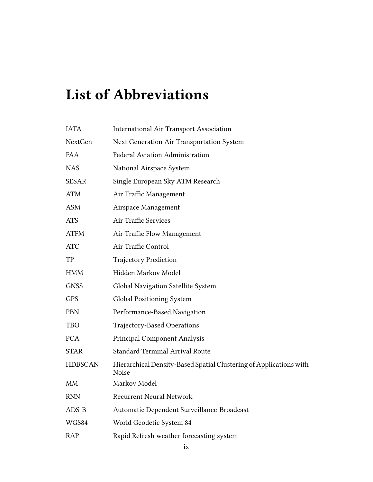# List of Abbreviations

| <b>IATA</b>    | <b>International Air Transport Association</b>                                     |
|----------------|------------------------------------------------------------------------------------|
| NextGen        | Next Generation Air Transportation System                                          |
| <b>FAA</b>     | Federal Aviation Administration                                                    |
| <b>NAS</b>     | National Airspace System                                                           |
| <b>SESAR</b>   | Single European Sky ATM Research                                                   |
| <b>ATM</b>     | Air Traffic Management                                                             |
| <b>ASM</b>     | Airspace Management                                                                |
| <b>ATS</b>     | Air Traffic Services                                                               |
| <b>ATFM</b>    | Air Traffic Flow Management                                                        |
| <b>ATC</b>     | Air Traffic Control                                                                |
| TP             | <b>Trajectory Prediction</b>                                                       |
| HMM            | Hidden Markov Model                                                                |
| <b>GNSS</b>    | Global Navigation Satellite System                                                 |
| <b>GPS</b>     | <b>Global Positioning System</b>                                                   |
| <b>PBN</b>     | Performance-Based Navigation                                                       |
| <b>TBO</b>     | Trajectory-Based Operations                                                        |
| <b>PCA</b>     | <b>Principal Component Analysis</b>                                                |
| <b>STAR</b>    | <b>Standard Terminal Arrival Route</b>                                             |
| <b>HDBSCAN</b> | Hierarchical Density-Based Spatial Clustering of Applications with<br><b>Noise</b> |
| <b>MM</b>      | Markov Model                                                                       |
| <b>RNN</b>     | <b>Recurrent Neural Network</b>                                                    |
| $ADS-B$        | Automatic Dependent Surveillance-Broadcast                                         |
| WGS84          | World Geodetic System 84                                                           |
| RAP            | Rapid Refresh weather forecasting system                                           |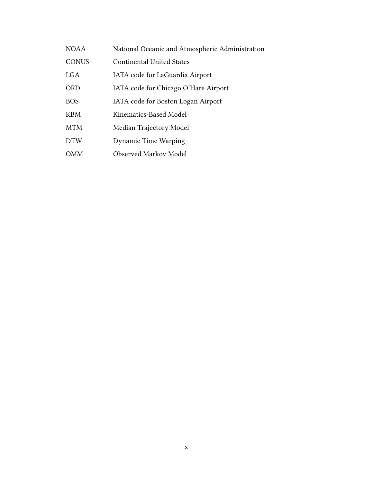| <b>NOAA</b>  | National Oceanic and Atmospheric Administration |
|--------------|-------------------------------------------------|
| <b>CONUS</b> | <b>Continental United States</b>                |
| <b>LGA</b>   | IATA code for LaGuardia Airport                 |
| <b>ORD</b>   | IATA code for Chicago O'Hare Airport            |
| <b>BOS</b>   | IATA code for Boston Logan Airport              |
| <b>KBM</b>   | Kinematics-Based Model                          |
| <b>MTM</b>   | Median Trajectory Model                         |
| <b>DTW</b>   | <b>Dynamic Time Warping</b>                     |
| <b>OMM</b>   | Observed Markov Model                           |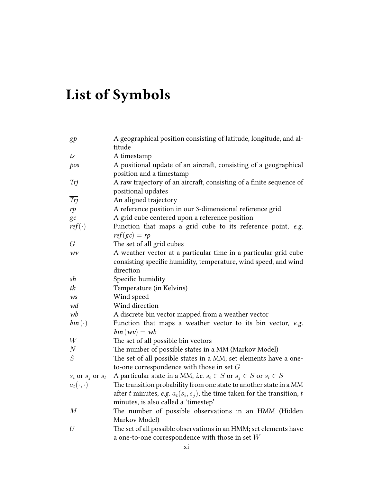# List of Symbols

| g p                     | A geographical position consisting of latitude, longitude, and al-<br>titude              |
|-------------------------|-------------------------------------------------------------------------------------------|
|                         |                                                                                           |
| ts                      | A timestamp                                                                               |
| pos                     | A positional update of an aircraft, consisting of a geographical                          |
|                         | position and a timestamp                                                                  |
| Trj                     | A raw trajectory of an aircraft, consisting of a finite sequence of<br>positional updates |
| Trj                     | An aligned trajectory                                                                     |
|                         |                                                                                           |
| rp                      | A reference position in our 3-dimensional reference grid                                  |
| gc                      | A grid cube centered upon a reference position                                            |
| $ref(\cdot)$            | Function that maps a grid cube to its reference point, e.g.<br>$ref(gc) = rp$             |
| G                       | The set of all grid cubes                                                                 |
| WV                      | A weather vector at a particular time in a particular grid cube                           |
|                         | consisting specific humidity, temperature, wind speed, and wind                           |
|                         | direction                                                                                 |
| sh                      | Specific humidity                                                                         |
| tk                      | Temperature (in Kelvins)                                                                  |
| <b>WS</b>               | Wind speed                                                                                |
| wd                      | Wind direction                                                                            |
| wb                      | A discrete bin vector mapped from a weather vector                                        |
| $bin(\cdot)$            | Function that maps a weather vector to its bin vector, e.g.                               |
|                         | $bin(wv) = wb$                                                                            |
| W                       | The set of all possible bin vectors                                                       |
| $\boldsymbol{N}$        | The number of possible states in a MM (Markov Model)                                      |
| ${\cal S}$              | The set of all possible states in a MM; set elements have a one-                          |
|                         | to-one correspondence with those in set $G$                                               |
| $s_i$ or $s_j$ or $s_l$ | A particular state in a MM, <i>i.e.</i> $s_i \in S$ or $s_j \in S$ or $s_l \in S$         |
| $a_t(\cdot,\cdot)$      | The transition probability from one state to another state in a MM                        |
|                         | after $t$ minutes, e.g. $a_t(s_i,s_j);$ the time taken for the transition, $t$            |
|                         | minutes, is also called a 'timestep'                                                      |
| $\overline{M}$          | The number of possible observations in an HMM (Hidden                                     |
|                         | Markov Model)                                                                             |
| $\mathcal U$            | The set of all possible observations in an HMM; set elements have                         |
|                         | a one-to-one correspondence with those in set $W$                                         |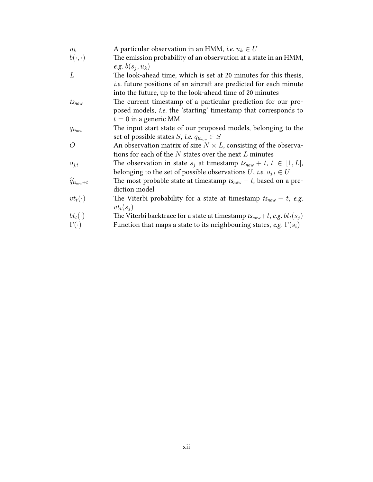| $u_k$            | A particular observation in an HMM, <i>i.e.</i> $u_k \in U$                    |
|------------------|--------------------------------------------------------------------------------|
| $b(\cdot,\cdot)$ | The emission probability of an observation at a state in an HMM,               |
|                  | e.g. $b(s_i, u_k)$                                                             |
| L                | The look-ahead time, which is set at 20 minutes for this thesis,               |
|                  | <i>i.e.</i> future positions of an aircraft are predicted for each minute      |
|                  | into the future, up to the look-ahead time of 20 minutes                       |
| $ts_{now}$       | The current timestamp of a particular prediction for our pro-                  |
|                  | posed models, <i>i.e.</i> the 'starting' timestamp that corresponds to         |
|                  | $t=0$ in a generic MM                                                          |
| $q_{ts_{now}}$   | The input start state of our proposed models, belonging to the                 |
|                  | set of possible states <i>S</i> , <i>i.e.</i> $q_{ts_{now}} \in S$             |
| $\theta$         | An observation matrix of size $N \times L$ , consisting of the observa-        |
|                  | tions for each of the $N$ states over the next $L$ minutes                     |
| $o_{j,t}$        | The observation in state $s_i$ at timestamp $ts_{now} + t$ , $t \in [1, L]$ ,  |
|                  | belonging to the set of possible observations U, i.e. $o_{j,t} \in U$          |
| $q_{ts_{now}+t}$ | The most probable state at timestamp $ts_{now} + t$ , based on a pre-          |
|                  | diction model                                                                  |
| $vt_t(\cdot)$    | The Viterbi probability for a state at timestamp $ts_{now} + t$ , e.g.         |
|                  | $vt_t(s_i)$                                                                    |
| $bt_t(\cdot)$    | The Viterbi backtrace for a state at timestamp $ts_{now}+t$ , e.g. $bt_t(s_i)$ |
| $\Gamma(\cdot)$  | Function that maps a state to its neighbouring states, e.g. $\Gamma(s_i)$      |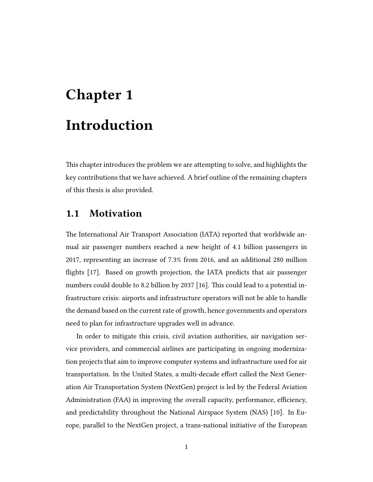# Chapter 1 Introduction

This chapter introduces the problem we are attempting to solve, and highlights the key contributions that we have achieved. A brief outline of the remaining chapters of this thesis is also provided.

## 1.1 Motivation

The International Air Transport Association (IATA) reported that worldwide annual air passenger numbers reached a new height of 4.1 billion passengers in 2017, representing an increase of 7.3% from 2016, and an additional 280 million flights [17]. Based on growth projection, the IATA predicts that air passenger numbers could double to 8.2 billion by 2037 [16]. This could lead to a potential infrastructure crisis: airports and infrastructure operators will not be able to handle the demand based on the current rate of growth, hence governments and operators need to plan for infrastructure upgrades well in advance.

In order to mitigate this crisis, civil aviation authorities, air navigation service providers, and commercial airlines are participating in ongoing modernization projects that aim to improve computer systems and infrastructure used for air transportation. In the United States, a multi-decade effort called the Next Generation Air Transportation System (NextGen) project is led by the Federal Aviation Administration (FAA) in improving the overall capacity, performance, efficiency, and predictability throughout the National Airspace System (NAS) [10]. In Europe, parallel to the NextGen project, a trans-national initiative of the European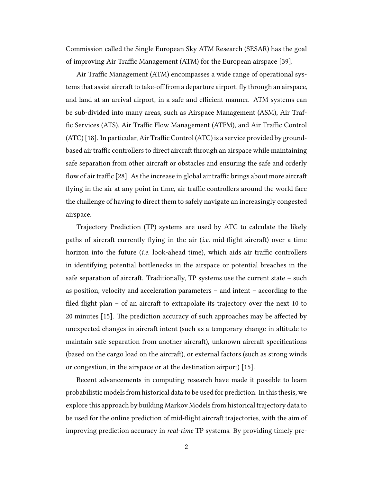Commission called the Single European Sky ATM Research (SESAR) has the goal of improving Air Traffic Management (ATM) for the European airspace [39].

Air Traffic Management (ATM) encompasses a wide range of operational systems that assist aircraft to take-off from a departure airport, fly through an airspace, and land at an arrival airport, in a safe and efficient manner. ATM systems can be sub-divided into many areas, such as Airspace Management (ASM), Air Traffic Services (ATS), Air Traffic Flow Management (ATFM), and Air Traffic Control (ATC) [18]. In particular, Air Traffic Control (ATC) is a service provided by groundbased air traffic controllers to direct aircraft through an airspace while maintaining safe separation from other aircraft or obstacles and ensuring the safe and orderly flow of air traffic [28]. As the increase in global air traffic brings about more aircraft flying in the air at any point in time, air traffic controllers around the world face the challenge of having to direct them to safely navigate an increasingly congested airspace.

Trajectory Prediction (TP) systems are used by ATC to calculate the likely paths of aircraft currently flying in the air (*i.e.* mid-flight aircraft) over a time horizon into the future (i.e. look-ahead time), which aids air traffic controllers in identifying potential bottlenecks in the airspace or potential breaches in the safe separation of aircraft. Traditionally, TP systems use the current state  $-$  such as position, velocity and acceleration parameters – and intent – according to the filed flight plan – of an aircraft to extrapolate its trajectory over the next 10 to 20 minutes [15]. The prediction accuracy of such approaches may be affected by unexpected changes in aircraft intent (such as a temporary change in altitude to maintain safe separation from another aircraft), unknown aircraft specifications (based on the cargo load on the aircraft), or external factors (such as strong winds or congestion, in the airspace or at the destination airport) [15].

Recent advancements in computing research have made it possible to learn probabilistic models from historical data to be used for prediction. In this thesis, we explore this approach by building Markov Models from historical trajectory data to be used for the online prediction of mid-flight aircraft trajectories, with the aim of improving prediction accuracy in real-time TP systems. By providing timely pre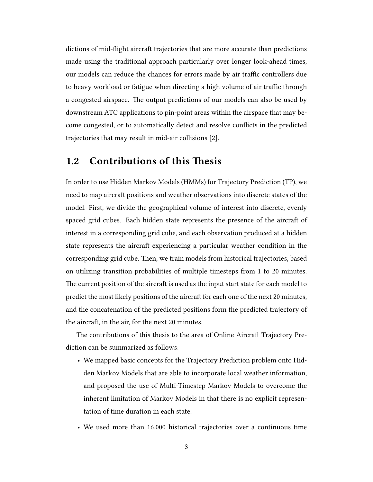dictions of mid-flight aircraft trajectories that are more accurate than predictions made using the traditional approach particularly over longer look-ahead times, our models can reduce the chances for errors made by air traffic controllers due to heavy workload or fatigue when directing a high volume of air traffic through a congested airspace. The output predictions of our models can also be used by downstream ATC applications to pin-point areas within the airspace that may become congested, or to automatically detect and resolve conflicts in the predicted trajectories that may result in mid-air collisions [2].

## 1.2 Contributions of this Thesis

In order to use Hidden Markov Models (HMMs) for Trajectory Prediction (TP), we need to map aircraft positions and weather observations into discrete states of the model. First, we divide the geographical volume of interest into discrete, evenly spaced grid cubes. Each hidden state represents the presence of the aircraft of interest in a corresponding grid cube, and each observation produced at a hidden state represents the aircraft experiencing a particular weather condition in the corresponding grid cube. Then, we train models from historical trajectories, based on utilizing transition probabilities of multiple timesteps from 1 to 20 minutes. The current position of the aircraft is used as the input start state for each model to predict the most likely positions of the aircraft for each one of the next 20 minutes, and the concatenation of the predicted positions form the predicted trajectory of the aircraft, in the air, for the next 20 minutes.

The contributions of this thesis to the area of Online Aircraft Trajectory Prediction can be summarized as follows:

- We mapped basic concepts for the Trajectory Prediction problem onto Hidden Markov Models that are able to incorporate local weather information, and proposed the use of Multi-Timestep Markov Models to overcome the inherent limitation of Markov Models in that there is no explicit representation of time duration in each state.
- We used more than 16,000 historical trajectories over a continuous time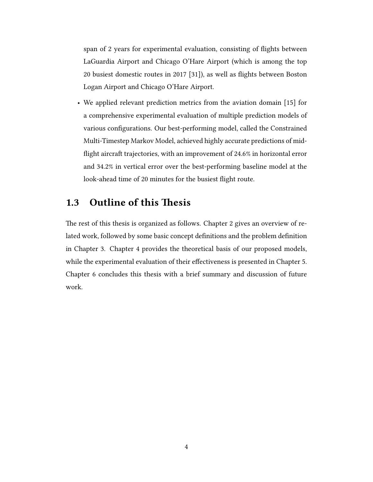span of 2 years for experimental evaluation, consisting of flights between LaGuardia Airport and Chicago O'Hare Airport (which is among the top 20 busiest domestic routes in 2017 [31]), as well as flights between Boston Logan Airport and Chicago O'Hare Airport.

• We applied relevant prediction metrics from the aviation domain [15] for a comprehensive experimental evaluation of multiple prediction models of various configurations. Our best-performing model, called the Constrained Multi-Timestep Markov Model, achieved highly accurate predictions of midflight aircraft trajectories, with an improvement of 24.6% in horizontal error and 34.2% in vertical error over the best-performing baseline model at the look-ahead time of 20 minutes for the busiest flight route.

## 1.3 Outline of this Thesis

The rest of this thesis is organized as follows. Chapter 2 gives an overview of related work, followed by some basic concept definitions and the problem definition in Chapter 3. Chapter 4 provides the theoretical basis of our proposed models, while the experimental evaluation of their effectiveness is presented in Chapter 5. Chapter 6 concludes this thesis with a brief summary and discussion of future work.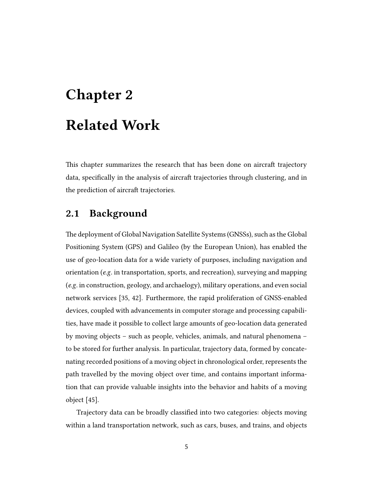# Chapter 2 Related Work

This chapter summarizes the research that has been done on aircraft trajectory data, specifically in the analysis of aircraft trajectories through clustering, and in the prediction of aircraft trajectories.

# 2.1 Background

e deployment of Global Navigation Satellite Systems (GNSSs), such as the Global Positioning System (GPS) and Galileo (by the European Union), has enabled the use of geo-location data for a wide variety of purposes, including navigation and orientation (e.g. in transportation, sports, and recreation), surveying and mapping (e.g. in construction, geology, and archaelogy), military operations, and even social network services [35, 42]. Furthermore, the rapid proliferation of GNSS-enabled devices, coupled with advancements in computer storage and processing capabilities, have made it possible to collect large amounts of geo-location data generated by moving objects – such as people, vehicles, animals, and natural phenomena – to be stored for further analysis. In particular, trajectory data, formed by concatenating recorded positions of a moving object in chronological order, represents the path travelled by the moving object over time, and contains important information that can provide valuable insights into the behavior and habits of a moving object [45].

Trajectory data can be broadly classified into two categories: objects moving within a land transportation network, such as cars, buses, and trains, and objects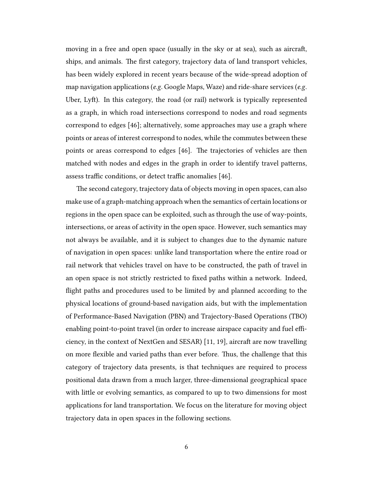moving in a free and open space (usually in the sky or at sea), such as aircraft, ships, and animals. The first category, trajectory data of land transport vehicles, has been widely explored in recent years because of the wide-spread adoption of map navigation applications (e.g. Google Maps, Waze) and ride-share services (e.g. Uber, Lyft). In this category, the road (or rail) network is typically represented as a graph, in which road intersections correspond to nodes and road segments correspond to edges [46]; alternatively, some approaches may use a graph where points or areas of interest correspond to nodes, while the commutes between these points or areas correspond to edges [46]. The trajectories of vehicles are then matched with nodes and edges in the graph in order to identify travel patterns, assess traffic conditions, or detect traffic anomalies [46].

The second category, trajectory data of objects moving in open spaces, can also make use of a graph-matching approach when the semantics of certain locations or regions in the open space can be exploited, such as through the use of way-points, intersections, or areas of activity in the open space. However, such semantics may not always be available, and it is subject to changes due to the dynamic nature of navigation in open spaces: unlike land transportation where the entire road or rail network that vehicles travel on have to be constructed, the path of travel in an open space is not strictly restricted to fixed paths within a network. Indeed, flight paths and procedures used to be limited by and planned according to the physical locations of ground-based navigation aids, but with the implementation of Performance-Based Navigation (PBN) and Trajectory-Based Operations (TBO) enabling point-to-point travel (in order to increase airspace capacity and fuel efficiency, in the context of NextGen and SESAR)  $[11, 19]$ , aircraft are now travelling on more flexible and varied paths than ever before. Thus, the challenge that this category of trajectory data presents, is that techniques are required to process positional data drawn from a much larger, three-dimensional geographical space with little or evolving semantics, as compared to up to two dimensions for most applications for land transportation. We focus on the literature for moving object trajectory data in open spaces in the following sections.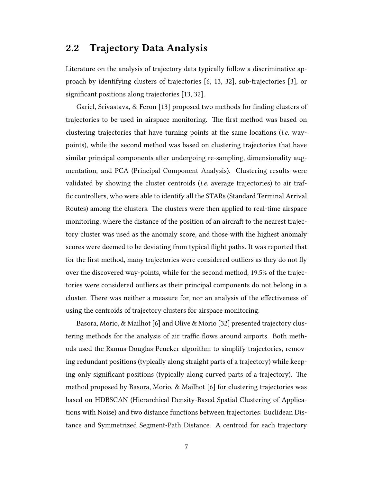# 2.2 Trajectory Data Analysis

Literature on the analysis of trajectory data typically follow a discriminative approach by identifying clusters of trajectories [6, 13, 32], sub-trajectories [3], or significant positions along trajectories [13, 32].

Gariel, Srivastava, & Feron [13] proposed two methods for finding clusters of trajectories to be used in airspace monitoring. The first method was based on clustering trajectories that have turning points at the same locations (i.e. waypoints), while the second method was based on clustering trajectories that have similar principal components after undergoing re-sampling, dimensionality augmentation, and PCA (Principal Component Analysis). Clustering results were validated by showing the cluster centroids (i.e. average trajectories) to air traffic controllers, who were able to identify all the STARs (Standard Terminal Arrival Routes) among the clusters. The clusters were then applied to real-time airspace monitoring, where the distance of the position of an aircraft to the nearest trajectory cluster was used as the anomaly score, and those with the highest anomaly scores were deemed to be deviating from typical flight paths. It was reported that for the first method, many trajectories were considered outliers as they do not fly over the discovered way-points, while for the second method, 19.5% of the trajectories were considered outliers as their principal components do not belong in a cluster. There was neither a measure for, nor an analysis of the effectiveness of using the centroids of trajectory clusters for airspace monitoring.

Basora, Morio, & Mailhot [6] and Olive & Morio [32] presented trajectory clustering methods for the analysis of air traffic flows around airports. Both methods used the Ramus-Douglas-Peucker algorithm to simplify trajectories, removing redundant positions (typically along straight parts of a trajectory) while keeping only significant positions (typically along curved parts of a trajectory). The method proposed by Basora, Morio, & Mailhot [6] for clustering trajectories was based on HDBSCAN (Hierarchical Density-Based Spatial Clustering of Applications with Noise) and two distance functions between trajectories: Euclidean Distance and Symmetrized Segment-Path Distance. A centroid for each trajectory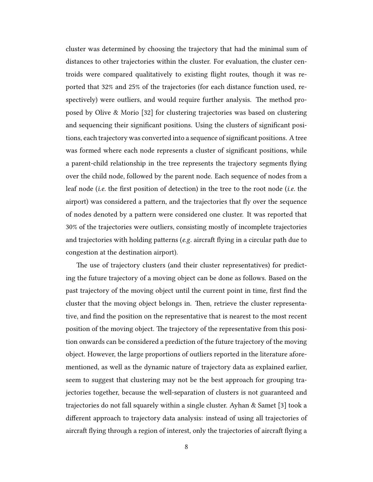cluster was determined by choosing the trajectory that had the minimal sum of distances to other trajectories within the cluster. For evaluation, the cluster centroids were compared qualitatively to existing flight routes, though it was reported that 32% and 25% of the trajectories (for each distance function used, respectively) were outliers, and would require further analysis. The method proposed by Olive & Morio [32] for clustering trajectories was based on clustering and sequencing their significant positions. Using the clusters of significant positions, each trajectory was converted into a sequence of significant positions. A tree was formed where each node represents a cluster of significant positions, while a parent-child relationship in the tree represents the trajectory segments flying over the child node, followed by the parent node. Each sequence of nodes from a leaf node (i.e. the first position of detection) in the tree to the root node (i.e. the airport) was considered a pattern, and the trajectories that fly over the sequence of nodes denoted by a pattern were considered one cluster. It was reported that 30% of the trajectories were outliers, consisting mostly of incomplete trajectories and trajectories with holding patterns (*e.g.* aircraft flying in a circular path due to congestion at the destination airport).

The use of trajectory clusters (and their cluster representatives) for predicting the future trajectory of a moving object can be done as follows. Based on the past trajectory of the moving object until the current point in time, first find the cluster that the moving object belongs in. Then, retrieve the cluster representative, and find the position on the representative that is nearest to the most recent position of the moving object. The trajectory of the representative from this position onwards can be considered a prediction of the future trajectory of the moving object. However, the large proportions of outliers reported in the literature aforementioned, as well as the dynamic nature of trajectory data as explained earlier, seem to suggest that clustering may not be the best approach for grouping trajectories together, because the well-separation of clusters is not guaranteed and trajectories do not fall squarely within a single cluster. Ayhan & Samet [3] took a different approach to trajectory data analysis: instead of using all trajectories of aircraft flying through a region of interest, only the trajectories of aircraft flying a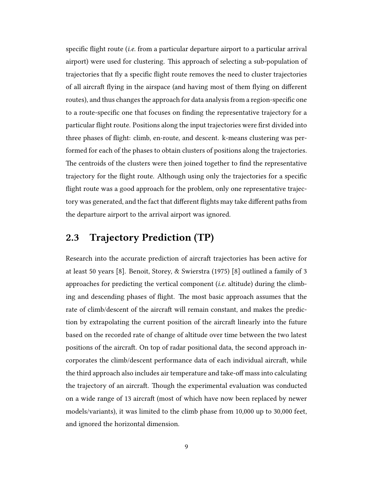specific flight route (i.e. from a particular departure airport to a particular arrival airport) were used for clustering. This approach of selecting a sub-population of trajectories that fly a specific flight route removes the need to cluster trajectories of all aircraft flying in the airspace (and having most of them flying on different routes), and thus changes the approach for data analysis from a region-specific one to a route-specific one that focuses on finding the representative trajectory for a particular flight route. Positions along the input trajectories were first divided into three phases of flight: climb, en-route, and descent. k-means clustering was performed for each of the phases to obtain clusters of positions along the trajectories. The centroids of the clusters were then joined together to find the representative trajectory for the flight route. Although using only the trajectories for a specific flight route was a good approach for the problem, only one representative trajectory was generated, and the fact that different flights may take different paths from the departure airport to the arrival airport was ignored.

## 2.3 Trajectory Prediction (TP)

Research into the accurate prediction of aircraft trajectories has been active for at least 50 years [8]. Benoit, Storey, & Swierstra (1975) [8] outlined a family of 3 approaches for predicting the vertical component (*i.e.* altitude) during the climbing and descending phases of flight. The most basic approach assumes that the rate of climb/descent of the aircraft will remain constant, and makes the prediction by extrapolating the current position of the aircraft linearly into the future based on the recorded rate of change of altitude over time between the two latest positions of the aircraft. On top of radar positional data, the second approach incorporates the climb/descent performance data of each individual aircraft, while the third approach also includes air temperature and take-off mass into calculating the trajectory of an aircraft. Though the experimental evaluation was conducted on a wide range of 13 aircraft (most of which have now been replaced by newer models/variants), it was limited to the climb phase from 10,000 up to 30,000 feet, and ignored the horizontal dimension.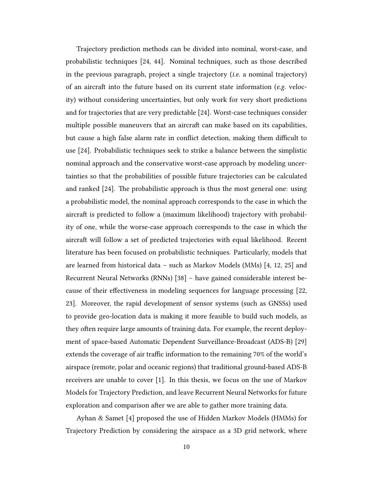Trajectory prediction methods can be divided into nominal, worst-case, and probabilistic techniques [24, 44]. Nominal techniques, such as those described in the previous paragraph, project a single trajectory (i.e. a nominal trajectory) of an aircraft into the future based on its current state information ( $e.g.$  velocity) without considering uncertainties, but only work for very short predictions and for trajectories that are very predictable [24]. Worst-case techniques consider multiple possible maneuvers that an aircraft can make based on its capabilities, but cause a high false alarm rate in conflict detection, making them difficult to use [24]. Probabilistic techniques seek to strike a balance between the simplistic nominal approach and the conservative worst-case approach by modeling uncertainties so that the probabilities of possible future trajectories can be calculated and ranked  $[24]$ . The probabilistic approach is thus the most general one: using a probabilistic model, the nominal approach corresponds to the case in which the aircraft is predicted to follow a (maximum likelihood) trajectory with probability of one, while the worse-case approach corresponds to the case in which the aircraft will follow a set of predicted trajectories with equal likelihood. Recent literature has been focused on probabilistic techniques. Particularly, models that are learned from historical data – such as Markov Models (MMs) [4, 12, 25] and Recurrent Neural Networks (RNNs) [38] – have gained considerable interest because of their effectiveness in modeling sequences for language processing [22, 23]. Moreover, the rapid development of sensor systems (such as GNSSs) used to provide geo-location data is making it more feasible to build such models, as they often require large amounts of training data. For example, the recent deployment of space-based Automatic Dependent Surveillance-Broadcast (ADS-B) [29] extends the coverage of air traffic information to the remaining 70% of the world's airspace (remote, polar and oceanic regions) that traditional ground-based ADS-B receivers are unable to cover [1]. In this thesis, we focus on the use of Markov Models for Trajectory Prediction, and leave Recurrent Neural Networks for future exploration and comparison after we are able to gather more training data.

Ayhan & Samet [4] proposed the use of Hidden Markov Models (HMMs) for Trajectory Prediction by considering the airspace as a 3D grid network, where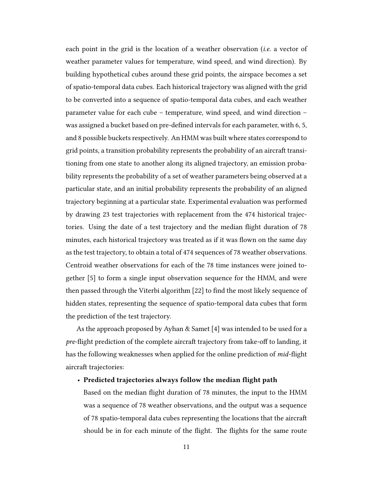each point in the grid is the location of a weather observation (i.e. a vector of weather parameter values for temperature, wind speed, and wind direction). By building hypothetical cubes around these grid points, the airspace becomes a set of spatio-temporal data cubes. Each historical trajectory was aligned with the grid to be converted into a sequence of spatio-temporal data cubes, and each weather parameter value for each cube – temperature, wind speed, and wind direction – was assigned a bucket based on pre-defined intervals for each parameter, with 6, 5, and 8 possible buckets respectively. An HMM was built where states correspond to grid points, a transition probability represents the probability of an aircraft transitioning from one state to another along its aligned trajectory, an emission probability represents the probability of a set of weather parameters being observed at a particular state, and an initial probability represents the probability of an aligned trajectory beginning at a particular state. Experimental evaluation was performed by drawing 23 test trajectories with replacement from the 474 historical trajectories. Using the date of a test trajectory and the median flight duration of 78 minutes, each historical trajectory was treated as if it was flown on the same day as the test trajectory, to obtain a total of 474 sequences of 78 weather observations. Centroid weather observations for each of the 78 time instances were joined together [5] to form a single input observation sequence for the HMM, and were then passed through the Viterbi algorithm [22] to find the most likely sequence of hidden states, representing the sequence of spatio-temporal data cubes that form the prediction of the test trajectory.

As the approach proposed by Ayhan & Samet [4] was intended to be used for a *pre-flight prediction of the complete aircraft trajectory from take-off to landing, it* has the following weaknesses when applied for the online prediction of *mid-flight* aircraft trajectories:

#### • Predicted trajectories always follow the median flight path

Based on the median flight duration of 78 minutes, the input to the HMM was a sequence of 78 weather observations, and the output was a sequence of 78 spatio-temporal data cubes representing the locations that the aircra should be in for each minute of the flight. The flights for the same route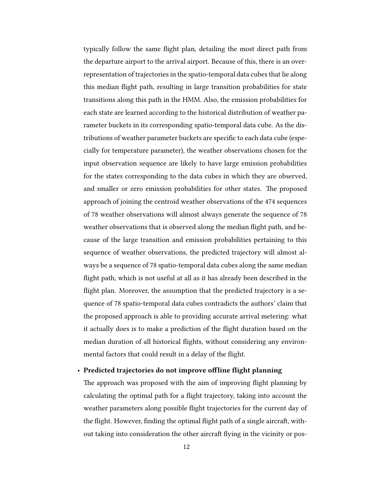typically follow the same flight plan, detailing the most direct path from the departure airport to the arrival airport. Because of this, there is an overrepresentation of trajectories in the spatio-temporal data cubes that lie along this median flight path, resulting in large transition probabilities for state transitions along this path in the HMM. Also, the emission probabilities for each state are learned according to the historical distribution of weather parameter buckets in its corresponding spatio-temporal data cube. As the distributions of weather parameter buckets are specific to each data cube (especially for temperature parameter), the weather observations chosen for the input observation sequence are likely to have large emission probabilities for the states corresponding to the data cubes in which they are observed, and smaller or zero emission probabilities for other states. The proposed approach of joining the centroid weather observations of the 474 sequences of 78 weather observations will almost always generate the sequence of 78 weather observations that is observed along the median flight path, and because of the large transition and emission probabilities pertaining to this sequence of weather observations, the predicted trajectory will almost always be a sequence of 78 spatio-temporal data cubes along the same median flight path, which is not useful at all as it has already been described in the flight plan. Moreover, the assumption that the predicted trajectory is a sequence of 78 spatio-temporal data cubes contradicts the authors' claim that the proposed approach is able to providing accurate arrival metering: what it actually does is to make a prediction of the flight duration based on the median duration of all historical flights, without considering any environmental factors that could result in a delay of the flight.

#### • Predicted trajectories do not improve offline flight planning

The approach was proposed with the aim of improving flight planning by calculating the optimal path for a flight trajectory, taking into account the weather parameters along possible flight trajectories for the current day of the flight. However, finding the optimal flight path of a single aircraft, without taking into consideration the other aircraft flying in the vicinity or pos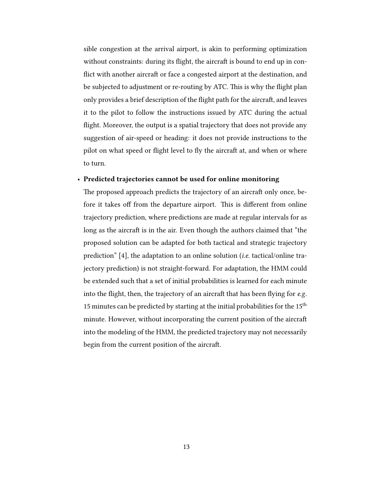sible congestion at the arrival airport, is akin to performing optimization without constraints: during its flight, the aircraft is bound to end up in conflict with another aircraft or face a congested airport at the destination, and be subjected to adjustment or re-routing by ATC. This is why the flight plan only provides a brief description of the flight path for the aircraft, and leaves it to the pilot to follow the instructions issued by ATC during the actual flight. Moreover, the output is a spatial trajectory that does not provide any suggestion of air-speed or heading: it does not provide instructions to the pilot on what speed or flight level to fly the aircraft at, and when or where to turn.

#### • Predicted trajectories cannot be used for online monitoring

The proposed approach predicts the trajectory of an aircraft only once, before it takes off from the departure airport. This is different from online trajectory prediction, where predictions are made at regular intervals for as long as the aircraft is in the air. Even though the authors claimed that "the proposed solution can be adapted for both tactical and strategic trajectory prediction" [4], the adaptation to an online solution (i.e. tactical/online trajectory prediction) is not straight-forward. For adaptation, the HMM could be extended such that a set of initial probabilities is learned for each minute into the flight, then, the trajectory of an aircraft that has been flying for e.g. 15 minutes can be predicted by starting at the initial probabilities for the  $15<sup>th</sup>$ minute. However, without incorporating the current position of the aircraft into the modeling of the HMM, the predicted trajectory may not necessarily begin from the current position of the aircraft.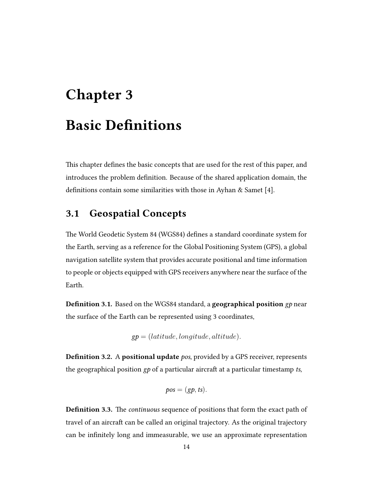# Chapter 3 Basic Definitions

This chapter defines the basic concepts that are used for the rest of this paper, and introduces the problem definition. Because of the shared application domain, the definitions contain some similarities with those in Ayhan & Samet [4].

# 3.1 Geospatial Concepts

The World Geodetic System 84 (WGS84) defines a standard coordinate system for the Earth, serving as a reference for the Global Positioning System (GPS), a global navigation satellite system that provides accurate positional and time information to people or objects equipped with GPS receivers anywhere near the surface of the Earth.

Definition 3.1. Based on the WGS84 standard, a geographical position gp near the surface of the Earth can be represented using 3 coordinates,

$$
gp = (latitude, longitude, altitude).
$$

**Definition 3.2.** A **positional update** pos, provided by a GPS receiver, represents the geographical position  $gp$  of a particular aircraft at a particular timestamp ts,

$$
pos = (gp, ts).
$$

**Definition 3.3.** The *continuous* sequence of positions that form the exact path of travel of an aircraft can be called an original trajectory. As the original trajectory can be infinitely long and immeasurable, we use an approximate representation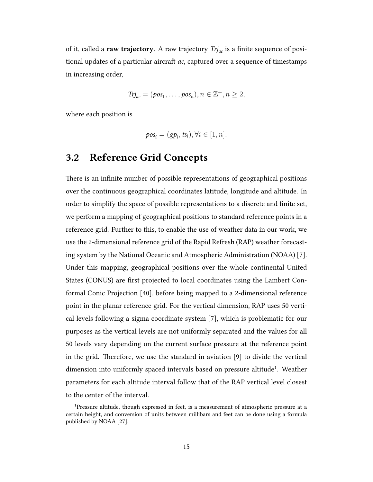of it, called a raw trajectory. A raw trajectory  $Tr_{ac}$  is a finite sequence of positional updates of a particular aircraft  $ac$ , captured over a sequence of timestamps in increasing order,

$$
Trj_{ac} = (pos_1, \ldots, pos_n), n \in \mathbb{Z}^+, n \ge 2,
$$

where each position is

$$
pos_i = (gp_i, ts_i), \forall i \in [1, n].
$$

## 3.2 Reference Grid Concepts

There is an infinite number of possible representations of geographical positions over the continuous geographical coordinates latitude, longitude and altitude. In order to simplify the space of possible representations to a discrete and finite set, we perform a mapping of geographical positions to standard reference points in a reference grid. Further to this, to enable the use of weather data in our work, we use the 2-dimensional reference grid of the Rapid Refresh (RAP) weather forecasting system by the National Oceanic and Atmospheric Administration (NOAA) [7]. Under this mapping, geographical positions over the whole continental United States (CONUS) are first projected to local coordinates using the Lambert Conformal Conic Projection [40], before being mapped to a 2-dimensional reference point in the planar reference grid. For the vertical dimension, RAP uses 50 vertical levels following a sigma coordinate system [7], which is problematic for our purposes as the vertical levels are not uniformly separated and the values for all 50 levels vary depending on the current surface pressure at the reference point in the grid. Therefore, we use the standard in aviation  $[9]$  to divide the vertical dimension into uniformly spaced intervals based on pressure altitude<sup>1</sup>. Weather parameters for each altitude interval follow that of the RAP vertical level closest to the center of the interval.

<sup>1</sup>Pressure altitude, though expressed in feet, is a measurement of atmospheric pressure at a certain height, and conversion of units between millibars and feet can be done using a formula published by NOAA [27].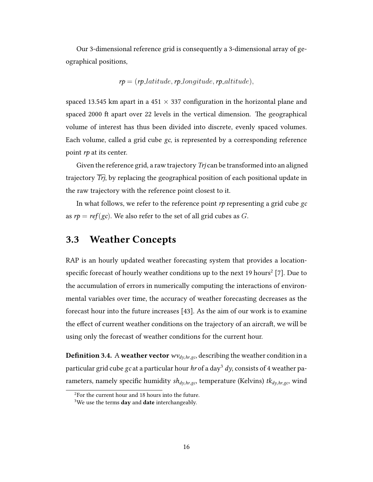Our 3-dimensional reference grid is consequently a 3-dimensional array of geographical positions,

$$
rp = (rp\_latitude, rp\_longitude, rp\_altitude),
$$

spaced 13.545 km apart in a 451  $\times$  337 configuration in the horizontal plane and spaced 2000 ft apart over 22 levels in the vertical dimension. The geographical volume of interest has thus been divided into discrete, evenly spaced volumes. Each volume, called a grid cube gc, is represented by a corresponding reference point rp at its center.

Given the reference grid, a raw trajectory Trj can be transformed into an aligned trajectory Trj, by replacing the geographical position of each positional update in the raw trajectory with the reference point closest to it.

In what follows, we refer to the reference point  $rp$  representing a grid cube  $gc$ as  $rp = ref(gc)$ . We also refer to the set of all grid cubes as G.

# 3.3 Weather Concepts

RAP is an hourly updated weather forecasting system that provides a locationspecific forecast of hourly weather conditions up to the next 19 hours<sup>2</sup> [7]. Due to the accumulation of errors in numerically computing the interactions of environmental variables over time, the accuracy of weather forecasting decreases as the forecast hour into the future increases [43]. As the aim of our work is to examine the effect of current weather conditions on the trajectory of an aircraft, we will be using only the forecast of weather conditions for the current hour.

**Definition 3.4.** A weather vector  $w_{dy,hr,gc}$ , describing the weather condition in a particular grid cube gc at a particular hour hr of a day<sup>3</sup> dy, consists of 4 weather parameters, namely specific humidity  $sh_{dy,hr,gc}$ , temperature (Kelvins)  $tk_{dy,hr,gc}$ , wind

 $2F$ or the current hour and 18 hours into the future.

 $3$ We use the terms day and date interchangeably.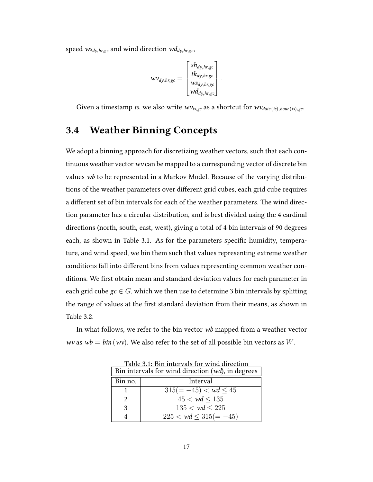speed  $ws_{dy,hr,gc}$  and wind direction  $wd_{dy,hr,gc}$ ,

$$
wv_{dy,hr,gc} = \begin{bmatrix} sh_{dy,hr,gc} \\ tk_{dy,hr,gc} \\ ws_{dy,hr,gc} \\ wd_{dy,hr,gc} \end{bmatrix}.
$$

Given a timestamp ts, we also write  $wv_{ts,gc}$  as a shortcut for  $wv_{date(ts),hour(ts),gc}$ .

## 3.4 Weather Binning Concepts

We adopt a binning approach for discretizing weather vectors, such that each continuous weather vector wv can be mapped to a corresponding vector of discrete bin values wb to be represented in a Markov Model. Because of the varying distributions of the weather parameters over different grid cubes, each grid cube requires a different set of bin intervals for each of the weather parameters. The wind direction parameter has a circular distribution, and is best divided using the 4 cardinal directions (north, south, east, west), giving a total of 4 bin intervals of 90 degrees each, as shown in Table 3.1. As for the parameters specific humidity, temperature, and wind speed, we bin them such that values representing extreme weather conditions fall into different bins from values representing common weather conditions. We first obtain mean and standard deviation values for each parameter in each grid cube  $gc \in G$ , which we then use to determine 3 bin intervals by splitting the range of values at the first standard deviation from their means, as shown in Table 3.2.

In what follows, we refer to the bin vector wb mapped from a weather vector wv as  $wb = bin (wv)$ . We also refer to the set of all possible bin vectors as W.

| Bin intervals for wind direction (wd), in degrees |                                      |  |
|---------------------------------------------------|--------------------------------------|--|
| Bin no.                                           | Interval                             |  |
|                                                   | $315(=-45) < \omega d \leq 45$       |  |
|                                                   | $45 < \omega d < 135$                |  |
| 3                                                 | $135 < \mathsf{wd} \leq 225$         |  |
|                                                   | $225 < \mathsf{wd} \leq 315 (= -45)$ |  |

Table 3.1: Bin intervals for wind direction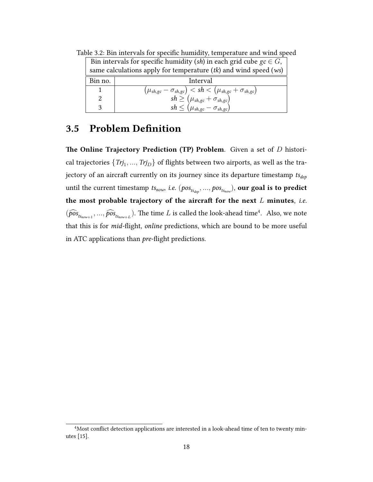|         | Bin intervals for specific humidity (sh) in each grid cube $\mathfrak{gc} \in G$ ,           |  |  |
|---------|----------------------------------------------------------------------------------------------|--|--|
|         | same calculations apply for temperature $(tk)$ and wind speed $(ws)$                         |  |  |
| Bin no. | Interval                                                                                     |  |  |
|         | $\left(\mu_{sh,gc} - \sigma_{sh,gc}\right) < sh < \left(\mu_{sh,gc} + \sigma_{sh,gc}\right)$ |  |  |
|         | $sh \geq (\mu_{sh,gc} + \sigma_{sh,gc}) \ sh \leq (\mu_{sh,gc} - \sigma_{sh,gc})$            |  |  |
|         |                                                                                              |  |  |

Table 3.2: Bin intervals for specific humidity, temperature and wind speed

# 3.5 Problem Definition

The Online Trajectory Prediction (TP) Problem. Given a set of  $D$  historical trajectories  $\{Trj_1,...,Trj_D\}$  of flights between two airports, as well as the trajectory of an aircraft currently on its journey since its departure timestamp  $ts_{dep}$ until the current timestamp  $\mathit{ts_{now}, i.e.}\ (pos_{\mathit{ts_{dep}}, \dots, pos_{\mathit{ts_{now}}}),$  our goal is to predict the most probable trajectory of the aircraft for the next  $L$  minutes, i.e.  $(\widehat{pos}_{ts_{now+1}},...,\widehat{pos}_{ts_{now+L}})$ . The time L is called the look-ahead time<sup>4</sup>. Also, we note that this is for mid-flight, online predictions, which are bound to be more useful in ATC applications than pre-flight predictions.

<sup>4</sup>Most conflict detection applications are interested in a look-ahead time of ten to twenty minutes [15].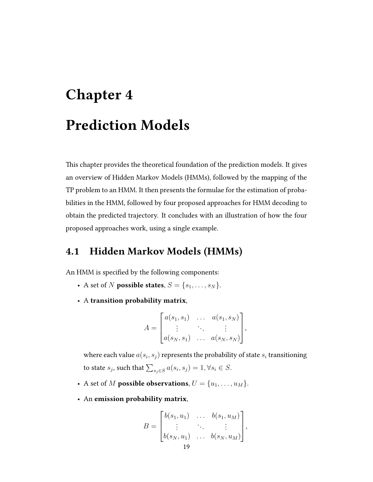# Chapter 4 Prediction Models

This chapter provides the theoretical foundation of the prediction models. It gives an overview of Hidden Markov Models (HMMs), followed by the mapping of the TP problem to an HMM. It then presents the formulae for the estimation of probabilities in the HMM, followed by four proposed approaches for HMM decoding to obtain the predicted trajectory. It concludes with an illustration of how the four proposed approaches work, using a single example.

## 4.1 Hidden Markov Models (HMMs)

An HMM is specified by the following components:

- A set of N **possible states**,  $S = \{s_1, \ldots, s_N\}.$
- A transition probability matrix,

$$
A = \begin{bmatrix} a(s_1, s_1) & \dots & a(s_1, s_N) \\ \vdots & \ddots & \vdots \\ a(s_N, s_1) & \dots & a(s_N, s_N) \end{bmatrix},
$$

where each value  $a(s_i,s_j)$  represents the probability of state  $s_i$  transitioning to state  $s_j$ , such that  $\sum_{s_j \in S} a(s_i, s_j) = 1, \forall s_i \in S$ .

- A set of M possible observations,  $U = \{u_1, \ldots, u_M\}$ .
- An emission probability matrix,

$$
B = \begin{bmatrix} b(s_1, u_1) & \dots & b(s_1, u_M) \\ \vdots & \ddots & \vdots \\ b(s_N, u_1) & \dots & b(s_N, u_M) \end{bmatrix},
$$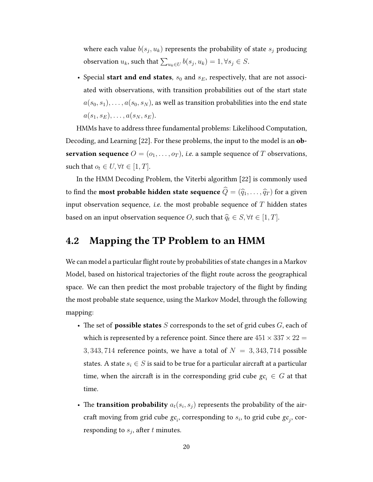where each value  $b(s_j,u_k)$  represents the probability of state  $s_j$  producing observation  $u_k$ , such that  $\sum_{u_k \in U} b(s_j, u_k) = 1, \forall s_j \in S$ .

• Special start and end states,  $s_0$  and  $s_E$ , respectively, that are not associated with observations, with transition probabilities out of the start state  $a(s_0, s_1), \ldots, a(s_0, s_N)$ , as well as transition probabilities into the end state  $a(s_1, s_E), \ldots, a(s_N, s_E).$ 

HMMs have to address three fundamental problems: Likelihood Computation, Decoding, and Learning [22]. For these problems, the input to the model is an observation sequence  $O = (o_1, \ldots, o_T)$ , *i.e.* a sample sequence of T observations, such that  $o_t \in U, \forall t \in [1, T]$ .

In the HMM Decoding Problem, the Viterbi algorithm [22] is commonly used to find the **most probable hidden state sequence**  $\widehat{Q} = (\widehat{q}_1, \ldots, \widehat{q}_T )$  for a given input observation sequence, *i.e.* the most probable sequence of  $T$  hidden states based on an input observation sequence *O*, such that  $\hat{q}_t \in S, \forall t \in [1, T]$ .

## 4.2 Mapping the TP Problem to an HMM

We can model a particular flight route by probabilities of state changes in a Markov Model, based on historical trajectories of the flight route across the geographical space. We can then predict the most probable trajectory of the flight by finding the most probable state sequence, using the Markov Model, through the following mapping:

- The set of **possible states** S corresponds to the set of grid cubes  $G$ , each of which is represented by a reference point. Since there are  $451 \times 337 \times 22 =$ 3, 343, 714 reference points, we have a total of  $N = 3,343,714$  possible states. A state  $s_i \in S$  is said to be true for a particular aircraft at a particular time, when the aircraft is in the corresponding grid cube  $gc_i \in G$  at that time.
- The transition probability  $a_t(s_i, s_j)$  represents the probability of the aircraft moving from grid cube  $gc_i$ , corresponding to  $s_i$ , to grid cube  $gc_j$ , corresponding to  $s_j$ , after  $t$  minutes.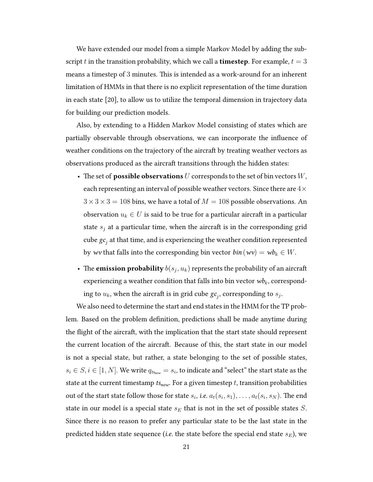We have extended our model from a simple Markov Model by adding the subscript t in the transition probability, which we call a **timestep**. For example,  $t = 3$ means a timestep of 3 minutes. This is intended as a work-around for an inherent limitation of HMMs in that there is no explicit representation of the time duration in each state [20], to allow us to utilize the temporal dimension in trajectory data for building our prediction models.

Also, by extending to a Hidden Markov Model consisting of states which are partially observable through observations, we can incorporate the influence of weather conditions on the trajectory of the aircraft by treating weather vectors as observations produced as the aircraft transitions through the hidden states:

- The set of **possible observations**  $U$  corresponds to the set of bin vectors  $W$ , each representing an interval of possible weather vectors. Since there are  $4\times$  $3 \times 3 \times 3 = 108$  bins, we have a total of  $M = 108$  possible observations. An observation  $u_k \in U$  is said to be true for a particular aircraft in a particular state  $s_i$  at a particular time, when the aircraft is in the corresponding grid cube  $\mathit{gc}_j$  at that time, and is experiencing the weather condition represented by wv that falls into the corresponding bin vector  $\mathit{bin}(wv) = w\mathit{b}_k \in W$ .
- The **emission probability**  $b(s_j, u_k)$  represents the probability of an aircraft experiencing a weather condition that falls into bin vector  $wb_k$ , corresponding to  $u_k$ , when the aircraft is in grid cube  $\mathit{gc}_j$ , corresponding to  $s_j$ .

We also need to determine the start and end states in the HMM for the TP problem. Based on the problem definition, predictions shall be made anytime during the flight of the aircraft, with the implication that the start state should represent the current location of the aircraft. Because of this, the start state in our model is not a special state, but rather, a state belonging to the set of possible states,  $s_i \in S, i \in [1, N].$  We write  $q_{t_{\mathit{Show}}} = s_i$ , to indicate and "select" the start state as the state at the current timestamp  $ts_{now}$ . For a given timestep t, transition probabilities out of the start state follow those for state  $s_i$ , *i.e.*  $a_t(s_i,s_1),\ldots,a_t(s_i,s_N).$  The end state in our model is a special state  $s_E$  that is not in the set of possible states S. Since there is no reason to prefer any particular state to be the last state in the predicted hidden state sequence (*i.e*. the state before the special end state  $s_E$ ), we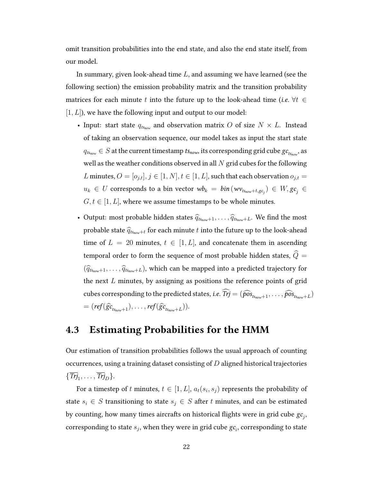omit transition probabilities into the end state, and also the end state itself, from our model.

In summary, given look-ahead time L, and assuming we have learned (see the following section) the emission probability matrix and the transition probability matrices for each minute t into the future up to the look-ahead time (*i.e.*  $\forall t \in$  $[1, L]$ , we have the following input and output to our model:

- Input: start state  $q_{ts_{now}}$  and observation matrix O of size  $N \times L$ . Instead of taking an observation sequence, our model takes as input the start state  $q_{t s_{\textit{now}}} \in S$  at the current timestamp  $t s_{\textit{now}},$  its corresponding grid cube  $g c_{t s_{\textit{now}}}$ , as well as the weather conditions observed in all  $N$  grid cubes for the following L minutes,  $O = [o_{j,t}], j \in [1, N], t \in [1, L]$ , such that each observation  $o_{j,t}$  $u_k \, \in \, U$  corresponds to a bin vector  $\,\overline{\!wb_k}\, = \, bin\, (w{\sf v}_{t{\sf s}_{\sf now}+t,{\sf gc}_j}) \, \in \, W, {\sf gc}_j \, \in \,$  $G, t \in [1, L]$ , where we assume timestamps to be whole minutes.
- Output: most probable hidden states  $\hat{q}_{ts_{now}+1}, \ldots, \hat{q}_{ts_{now}+L}$ . We find the most probable state  $\widehat{q}_{ts_{now}+t}$  for each minute t into the future up to the look-ahead time of  $L = 20$  minutes,  $t \in [1, L]$ , and concatenate them in ascending temporal order to form the sequence of most probable hidden states,  $\widehat{Q}$  =  $(\widehat{q}_{ts_{now}+1}, \ldots, \widehat{q}_{ts_{now}+L})$ , which can be mapped into a predicted trajectory for the next  $L$  minutes, by assigning as positions the reference points of grid cubes corresponding to the predicted states, *i.e.*  $Trj = (\widehat{pos}_{ts_{now}+1}, \ldots, \widehat{pos}_{ts_{now}+L})$  $=(\textit{ref}(\widehat{gc}_{t_{\mathit{Snow}}+1}), \ldots, \textit{ref}(\widehat{gc}_{t_{\mathit{Snow}}+L})).$

## 4.3 Estimating Probabilities for the HMM

Our estimation of transition probabilities follows the usual approach of counting occurrences, using a training dataset consisting of  $D$  aligned historical trajectories  $\{\overline{Trj}_1,\ldots,\overline{Trj}_D\}.$ 

For a timestep of  $t$  minutes,  $t \in [1, L]$ ,  $a_t(s_i, s_j)$  represents the probability of state  $s_i \in S$  transitioning to state  $s_j \in S$  after t minutes, and can be estimated by counting, how many times aircrafts on historical flights were in grid cube  $\mathit{gc}_j$ , corresponding to state  $s_j$ , when they were in grid cube  $\mathit{gc}_i$ , corresponding to state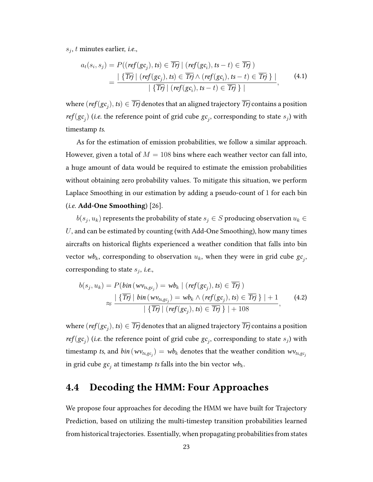$s_j$ , t minutes earlier, *i.e.*,

$$
a_t(s_i, s_j) = P((\text{ref}(gc_j), ts) \in \overline{Trj} \mid (\text{ref}(gc_i), ts - t) \in \overline{Trj} )
$$
  
= 
$$
\frac{|\{\overline{Trj} \mid (\text{ref}(gc_j), ts) \in \overline{Trj} \land (\text{ref}(gc_i), ts - t) \in \overline{Trj} \} |}{|\{\overline{Trj} \mid (\text{ref}(gc_i), ts - t) \in \overline{Trj} \} |},
$$
(4.1)

where  $(\mathit{ref}(gc_j),\mathit{ts}) \in \overline{\mathit{Trj}}$  denotes that an aligned trajectory  $\overline{\mathit{Trj}}$  contains a position  $\textit{ref}(\textit{gc}_j)$  (i.e. the reference point of grid cube  $\textit{gc}_j$ , corresponding to state  $s_j$ ) with timestamp ts.

As for the estimation of emission probabilities, we follow a similar approach. However, given a total of  $M = 108$  bins where each weather vector can fall into, a huge amount of data would be required to estimate the emission probabilities without obtaining zero probability values. To mitigate this situation, we perform Laplace Smoothing in our estimation by adding a pseudo-count of 1 for each bin (*i.e.*  $Add$ -One Smoothing) [26].

 $b(s_j,u_k)$  represents the probability of state  $s_j \in S$  producing observation  $u_k \in S$ U, and can be estimated by counting (with Add-One Smoothing), how many times aircrafts on historical flights experienced a weather condition that falls into bin vector  $\mathit{wb}_k$ , corresponding to observation  $u_k$ , when they were in grid cube  $\mathit{gc}_j$ , corresponding to state  $s_j$ , *i.e.*,

$$
b(s_j, u_k) = P(bin(wv_{ts,gc_j}) = wb_k | (ref(gc_j), ts) \in \overline{Trj})
$$
  

$$
\approx \frac{|\{\overline{Trj} | bin(wv_{ts,gc_j}) = wb_k \land (ref(gc_j), ts) \in \overline{Trj}\}| + 1}{|\{\overline{Trj} | (ref(gc_j), ts) \in \overline{Trj}\}| + 108},
$$
(4.2)

where  $(\mathit{ref}(gc_j),\mathit{ts}) \in \overline{\mathit{Trj}}$  denotes that an aligned trajectory  $\overline{\mathit{Trj}}$  contains a position  $\textit{ref}(\textit{gc}_j)$  (i.e. the reference point of grid cube  $\textit{gc}_j$ , corresponding to state  $s_j$ ) with timestamp  $t$ s, and  $bin(wv_{ts,gc_j})=wb_k$  denotes that the weather condition  $wv_{ts,gc_j}$ in grid cube  $\mathit{gc}_j$  at timestamp  $\mathit{ts}$  falls into the bin vector  $\mathit{wb}_k$ .

## 4.4 Decoding the HMM: Four Approaches

We propose four approaches for decoding the HMM we have built for Trajectory Prediction, based on utilizing the multi-timestep transition probabilities learned from historical trajectories. Essentially, when propagating probabilities from states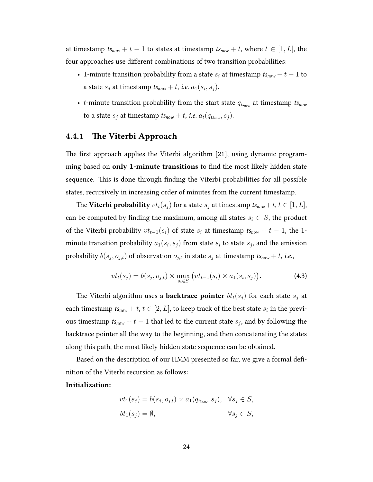at timestamp  $ts_{now} + t - 1$  to states at timestamp  $ts_{now} + t$ , where  $t \in [1, L]$ , the four approaches use different combinations of two transition probabilities:

- 1-minute transition probability from a state  $s_i$  at timestamp  $ts_{now} + t 1$  to a state  $s_j$  at timestamp  $t s_{now} + t$ , i.e.  $a_1(s_i,s_j)$ .
- *t*-minute transition probability from the start state  $q_{ts_{now}}$  at timestamp  $ts_{now}$ to a state  $s_j$  at timestamp  $t{\sf s}_{\sf now}+t$ , i.e.  $a_t(q_{t{\sf s}_{\sf now}},s_j).$

#### 4.4.1 The Viterbi Approach

The first approach applies the Viterbi algorithm [21], using dynamic programming based on only 1-minute transitions to find the most likely hidden state sequence. This is done through finding the Viterbi probabilities for all possible states, recursively in increasing order of minutes from the current timestamp.

The Viterbi probability  $vt_t(s_j)$  for a state  $s_j$  at timestamp  $ts_{now} + t, t \in [1, L],$ can be computed by finding the maximum, among all states  $s_i \in S$ , the product of the Viterbi probability  $vt_{t-1}(s_i)$  of state  $s_i$  at timestamp  $ts_{now} + t - 1$ , the 1minute transition probability  $a_1(s_i,s_j)$  from state  $s_i$  to state  $s_j$ , and the emission probability  $b(s_j,o_{j,t})$  of observation  $o_{j,t}$  in state  $s_j$  at timestamp  $t\mathbf{s}_{\textit{now}}+t$ , i.e.,

$$
vtt(sj) = b(sj, oj,t) \times \max_{si \in S} (vtt-1(si) \times a1(si, sj)).
$$
 (4.3)

The Viterbi algorithm uses a **backtrace pointer**  $bt_t(s_j)$  for each state  $s_j$  at each timestamp  $ts_{now} + t$ ,  $t \in [2, L]$ , to keep track of the best state  $s_i$  in the previous timestamp  $ts_{now} + t - 1$  that led to the current state  $s_j$ , and by following the backtrace pointer all the way to the beginning, and then concatenating the states along this path, the most likely hidden state sequence can be obtained.

Based on the description of our HMM presented so far, we give a formal definition of the Viterbi recursion as follows:

#### Initialization:

$$
vt_1(s_j) = b(s_j, o_{j,t}) \times a_1(q_{ts_{now}}, s_j), \quad \forall s_j \in S,
$$
  

$$
bt_1(s_j) = \emptyset, \qquad \forall s_j \in S,
$$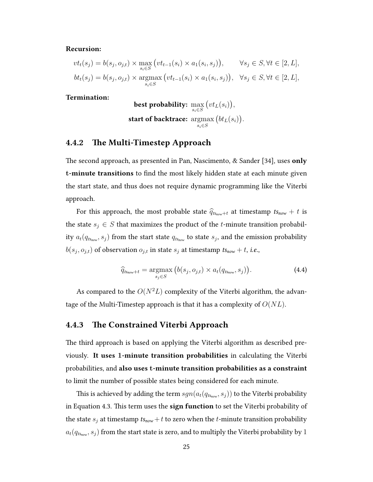#### Recursion:

$$
vtt(sj) = b(sj, oj,t) \times \max_{s_i \in S} (vtt-1(si) \times a_1(si, sj)), \forall sj \in S, \forall t \in [2, L],
$$
  
\n
$$
btt(sj) = b(sj, oj,t) \times \operatorname*{argmax}_{si \in S} (vtt-1(si) \times a_1(si, sj)), \forall sj \in S, \forall t \in [2, L],
$$

Termination:

best probability:  $\max\limits_{s_i \in S}$  $(vt<sub>L</sub>(s<sub>i</sub>)),$ start of backtrace: argmax  $s_i \in S$  $(bt_L(s_i)).$ 

### 4.4.2 The Multi-Timestep Approach

The second approach, as presented in Pan, Nascimento,  $\&$  Sander [34], uses only t-minute transitions to find the most likely hidden state at each minute given the start state, and thus does not require dynamic programming like the Viterbi approach.

For this approach, the most probable state  $\hat{q}_{ts_{now}+t}$  at timestamp  $ts_{now} + t$  is the state  $s_i \in S$  that maximizes the product of the t-minute transition probability  $a_t(q_{t s_{\textit{now}}},s_j)$  from the start state  $q_{t s_{\textit{now}}}$  to state  $s_j$ , and the emission probability  $b(s_j, o_{j,t})$  of observation  $o_{j,t}$  in state  $s_j$  at timestamp  $t\mathbf{s}_{\textit{now}} + t$ , i.e.,

$$
\widehat{q}_{ts_{now}+t} = \underset{s_j \in S}{\operatorname{argmax}} \left( b(s_j, o_{j,t}) \times a_t(q_{ts_{now}}, s_j) \right). \tag{4.4}
$$

As compared to the  $O(N^2L)$  complexity of the Viterbi algorithm, the advantage of the Multi-Timestep approach is that it has a complexity of  $O(NL)$ .

## 4.4.3 The Constrained Viterbi Approach

The third approach is based on applying the Viterbi algorithm as described previously. It uses 1-minute transition probabilities in calculating the Viterbi probabilities, and also uses t-minute transition probabilities as a constraint to limit the number of possible states being considered for each minute.

This is achieved by adding the term  $\mathit{sgn}(a_t(q_{t\mathsf{s}_{\mathsf{now}}},s_j))$  to the Viterbi probability in Equation 4.3. This term uses the sign function to set the Viterbi probability of the state  $s_j$  at timestamp  $t s_{now} + t$  to zero when the *t*-minute transition probability  $a_t(q_{t{\sf s}_{\sf now}},s_j)$  from the start state is zero, and to multiply the Viterbi probability by  $1$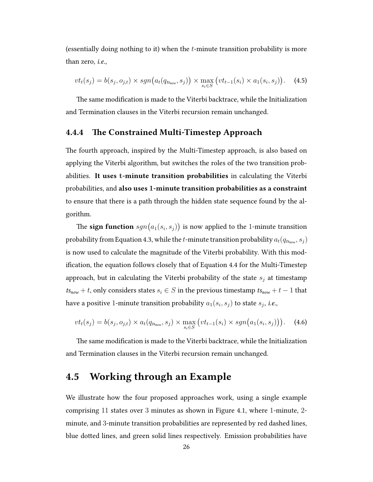(essentially doing nothing to it) when the  $t$ -minute transition probability is more than zero, i.e.,

$$
vtt(sj) = b(sj, oj,t) \times sgn(at(qtsnov, sj) ) \times \max_{si \in S} (vtt-1(si) \times a1(si, sj)).
$$
 (4.5)

The same modification is made to the Viterbi backtrace, while the Initialization and Termination clauses in the Viterbi recursion remain unchanged.

# 4.4.4 The Constrained Multi-Timestep Approach

The fourth approach, inspired by the Multi-Timestep approach, is also based on applying the Viterbi algorithm, but switches the roles of the two transition probabilities. It uses t-minute transition probabilities in calculating the Viterbi probabilities, and also uses 1-minute transition probabilities as a constraint to ensure that there is a path through the hidden state sequence found by the algorithm.

The  $\operatorname{\sf sign}$  function  $\mathit{sgn}(a_1(s_i,s_j))$  is now applied to the 1-minute transition probability from Equation 4.3, while the  $t$ -minute transition probability  $a_t(q_{t\mathsf{s}_{\mathsf{now}}},s_j)$ is now used to calculate the magnitude of the Viterbi probability. With this modification, the equation follows closely that of Equation 4.4 for the Multi-Timestep approach, but in calculating the Viterbi probability of the state  $s_i$  at timestamp  $ts<sub>now</sub> + t$ , only considers states  $s<sub>i</sub> \in S$  in the previous timestamp  $ts<sub>now</sub> + t - 1$  that have a positive 1-minute transition probability  $a_1(s_i,s_j)$  to state  $s_j$ , *i.e.*,

$$
vt_t(s_j) = b(s_j, o_{j,t}) \times a_t(q_{ts_{now}}, s_j) \times \max_{s_i \in S} (vt_{t-1}(s_i) \times sgn(a_1(s_i, s_j))). \quad (4.6)
$$

The same modification is made to the Viterbi backtrace, while the Initialization and Termination clauses in the Viterbi recursion remain unchanged.

# 4.5 Working through an Example

We illustrate how the four proposed approaches work, using a single example comprising 11 states over 3 minutes as shown in Figure 4.1, where 1-minute, 2 minute, and 3-minute transition probabilities are represented by red dashed lines, blue dotted lines, and green solid lines respectively. Emission probabilities have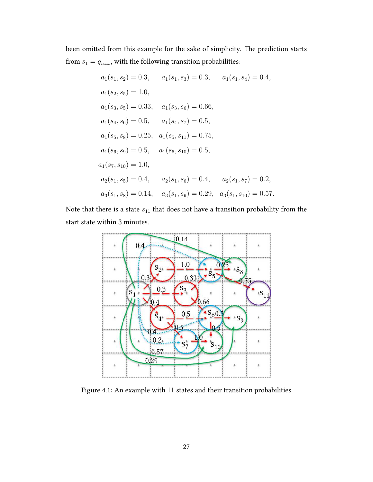been omitted from this example for the sake of simplicity. The prediction starts from  $s_1 = q_{ts_{\rm now}},$  with the following transition probabilities:

$$
a_1(s_1, s_2) = 0.3, \t a_1(s_1, s_3) = 0.3, \t a_1(s_1, s_4) = 0.4,
$$
  
\n
$$
a_1(s_2, s_5) = 1.0,
$$
  
\n
$$
a_1(s_3, s_5) = 0.33, \t a_1(s_3, s_6) = 0.66,
$$
  
\n
$$
a_1(s_4, s_6) = 0.5, \t a_1(s_4, s_7) = 0.5,
$$
  
\n
$$
a_1(s_5, s_8) = 0.25, \t a_1(s_5, s_{11}) = 0.75,
$$
  
\n
$$
a_1(s_6, s_9) = 0.5, \t a_1(s_6, s_{10}) = 0.5,
$$
  
\n
$$
a_1(s_7, s_{10}) = 1.0,
$$
  
\n
$$
a_2(s_1, s_5) = 0.4, \t a_2(s_1, s_6) = 0.4, \t a_2(s_1, s_7) = 0.2,
$$
  
\n
$$
a_3(s_1, s_8) = 0.14, \t a_3(s_1, s_9) = 0.29, \t a_3(s_1, s_{10}) = 0.57.
$$

Note that there is a state  $s_{11}$  that does not have a transition probability from the start state within 3 minutes.



Figure 4.1: An example with 11 states and their transition probabilities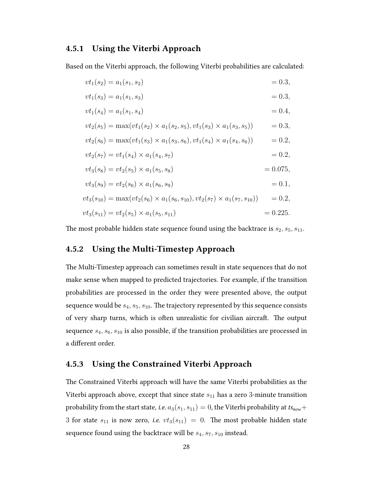## 4.5.1 Using the Viterbi Approach

Based on the Viterbi approach, the following Viterbi probabilities are calculated:

$$
vt_1(s_2) = a_1(s_1, s_2) = 0.3,
$$
  
\n
$$
vt_1(s_3) = a_1(s_1, s_3) = 0.3,
$$
  
\n
$$
vt_1(s_4) = a_1(s_1, s_4) = 0.4,
$$
  
\n
$$
vt_2(s_5) = \max(vt_1(s_2) \times a_1(s_2, s_5), vt_1(s_3) \times a_1(s_3, s_5)) = 0.3,
$$
  
\n
$$
vt_2(s_6) = \max(vt_1(s_3) \times a_1(s_3, s_6), vt_1(s_4) \times a_1(s_4, s_6)) = 0.2,
$$
  
\n
$$
vt_2(s_7) = vt_1(s_4) \times a_1(s_4, s_7) = 0.2,
$$
  
\n
$$
vt_3(s_8) = vt_2(s_5) \times a_1(s_5, s_8) = 0.075,
$$
  
\n
$$
vt_3(s_9) = vt_2(s_6) \times a_1(s_6, s_9) = 0.1,
$$
  
\n
$$
vt_3(s_{10}) = \max(vt_2(s_6) \times a_1(s_5, s_{10}), vt_2(s_7) \times a_1(s_7, s_{10})) = 0.2,
$$
  
\n
$$
vt_3(s_{11}) = vt_2(s_5) \times a_1(s_5, s_{11}) = 0.225.
$$

The most probable hidden state sequence found using the backtrace is  $s_2, s_5, s_{11}$ .

## 4.5.2 Using the Multi-Timestep Approach

The Multi-Timestep approach can sometimes result in state sequences that do not make sense when mapped to predicted trajectories. For example, if the transition probabilities are processed in the order they were presented above, the output sequence would be  $s_4, s_5, s_{10}$ . The trajectory represented by this sequence consists of very sharp turns, which is often unrealistic for civilian aircraft. The output sequence  $s_4, s_6, s_{10}$  is also possible, if the transition probabilities are processed in a different order.

## 4.5.3 Using the Constrained Viterbi Approach

The Constrained Viterbi approach will have the same Viterbi probabilities as the Viterbi approach above, except that since state  $s_{11}$  has a zero 3-minute transition probability from the start state, *i.e.*  $a_3(s_1, s_{11}) = 0$ , the Viterbi probability at  $ts_{now}$ + 3 for state  $s_{11}$  is now zero, i.e.  $vt_3(s_{11}) = 0$ . The most probable hidden state sequence found using the backtrace will be  $s_4$ ,  $s_7$ ,  $s_{10}$  instead.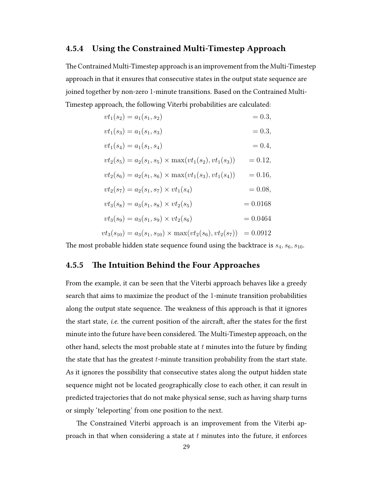## 4.5.4 Using the Constrained Multi-Timestep Approach

e Contrained Multi-Timestep approach is an improvement from the Multi-Timestep approach in that it ensures that consecutive states in the output state sequence are joined together by non-zero 1-minute transitions. Based on the Contrained Multi-Timestep approach, the following Viterbi probabilities are calculated:

$$
vt_1(s_2) = a_1(s_1, s_2) = 0.3,
$$
  
\n
$$
vt_1(s_3) = a_1(s_1, s_3) = 0.3,
$$
  
\n
$$
vt_1(s_4) = a_1(s_1, s_4) = 0.4,
$$
  
\n
$$
vt_2(s_5) = a_2(s_1, s_5) \times \max(vt_1(s_2), vt_1(s_3)) = 0.12,
$$
  
\n
$$
vt_2(s_6) = a_2(s_1, s_6) \times \max(vt_1(s_3), vt_1(s_4)) = 0.16,
$$
  
\n
$$
vt_2(s_7) = a_2(s_1, s_7) \times vt_1(s_4) = 0.08,
$$
  
\n
$$
vt_3(s_8) = a_3(s_1, s_8) \times vt_2(s_5) = 0.0168
$$
  
\n
$$
vt_3(s_9) = a_3(s_1, s_9) \times vt_2(s_6) = 0.0464
$$

$$
vt_3(s_{10}) = a_3(s_1, s_{10}) \times \max(vt_2(s_6), vt_2(s_7)) = 0.0912
$$

The most probable hidden state sequence found using the backtrace is  $s_4$ ,  $s_6$ ,  $s_{10}$ .

## 4.5.5 The Intuition Behind the Four Approaches

From the example, it can be seen that the Viterbi approach behaves like a greedy search that aims to maximize the product of the 1-minute transition probabilities along the output state sequence. The weakness of this approach is that it ignores the start state, *i.e.* the current position of the aircraft, after the states for the first minute into the future have been considered. The Multi-Timestep approach, on the other hand, selects the most probable state at  $t$  minutes into the future by finding the state that has the greatest  $t$ -minute transition probability from the start state. As it ignores the possibility that consecutive states along the output hidden state sequence might not be located geographically close to each other, it can result in predicted trajectories that do not make physical sense, such as having sharp turns or simply 'teleporting' from one position to the next.

The Constrained Viterbi approach is an improvement from the Viterbi approach in that when considering a state at  $t$  minutes into the future, it enforces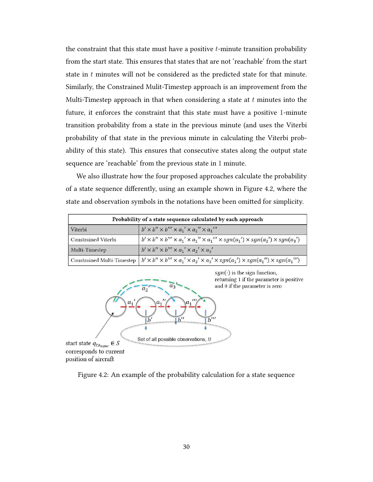the constraint that this state must have a positive  $t$ -minute transition probability from the start state. This ensures that states that are not 'reachable' from the start state in  $t$  minutes will not be considered as the predicted state for that minute. Similarly, the Constrained Mulit-Timestep approach is an improvement from the Multi-Timestep approach in that when considering a state at  $t$  minutes into the future, it enforces the constraint that this state must have a positive 1-minute transition probability from a state in the previous minute (and uses the Viterbi probability of that state in the previous minute in calculating the Viterbi probability of this state). This ensures that consecutive states along the output state sequence are 'reachable' from the previous state in 1 minute.

We also illustrate how the four proposed approaches calculate the probability of a state sequence differently, using an example shown in Figure 4.2, where the state and observation symbols in the notations have been omitted for simplicity.

| Probability of a state sequence calculated by each approach |                                                                                                                                                  |  |  |
|-------------------------------------------------------------|--------------------------------------------------------------------------------------------------------------------------------------------------|--|--|
| Viterbi                                                     | $b' \times b'' \times b''' \times a_1' \times a_1'' \times a_1'''$                                                                               |  |  |
| Constrained Viterbi                                         | $b' \times b'' \times b''' \times a_1' \times a_1'' \times a_1''' \times sgn(a_1') \times sgn(a_2') \times sgn(a_3')$                            |  |  |
| Multi-Timestep                                              | $b' \times b'' \times b''' \times a_1' \times a_2' \times a_3'$                                                                                  |  |  |
|                                                             | Constrained Multi-Timestep $b' \times b'' \times b''' \times a_1' \times a_2' \times a_3' \times sgn(a_1') \times sgn(a_1'') \times sgn(a_1''')$ |  |  |



Figure 4.2: An example of the probability calculation for a state sequence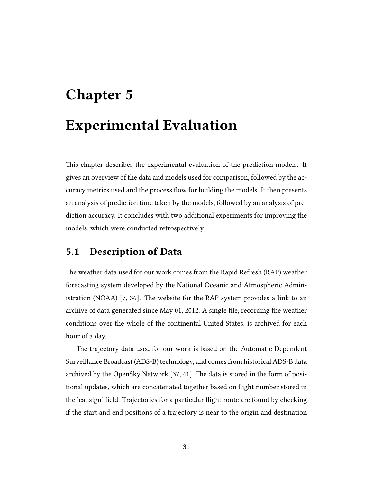# Chapter 5 Experimental Evaluation

This chapter describes the experimental evaluation of the prediction models. It gives an overview of the data and models used for comparison, followed by the accuracy metrics used and the process flow for building the models. It then presents an analysis of prediction time taken by the models, followed by an analysis of prediction accuracy. It concludes with two additional experiments for improving the models, which were conducted retrospectively.

# 5.1 Description of Data

The weather data used for our work comes from the Rapid Refresh (RAP) weather forecasting system developed by the National Oceanic and Atmospheric Administration (NOAA) [7, 36]. The website for the RAP system provides a link to an archive of data generated since May 01, 2012. A single file, recording the weather conditions over the whole of the continental United States, is archived for each hour of a day.

The trajectory data used for our work is based on the Automatic Dependent Surveillance Broadcast (ADS-B) technology, and comes from historical ADS-B data archived by the OpenSky Network [37, 41]. The data is stored in the form of positional updates, which are concatenated together based on flight number stored in the 'callsign' field. Trajectories for a particular flight route are found by checking if the start and end positions of a trajectory is near to the origin and destination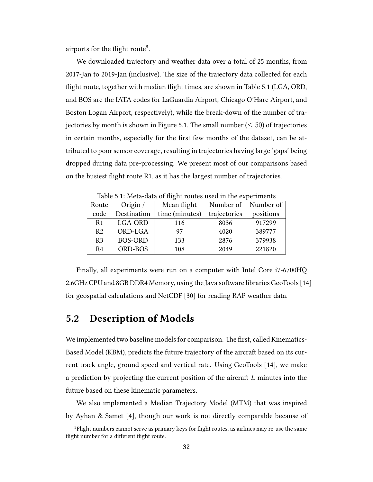airports for the flight route<sup>5</sup>.

We downloaded trajectory and weather data over a total of 25 months, from 2017-Jan to 2019-Jan (inclusive). The size of the trajectory data collected for each flight route, together with median flight times, are shown in Table 5.1 (LGA, ORD, and BOS are the IATA codes for LaGuardia Airport, Chicago O'Hare Airport, and Boston Logan Airport, respectively), while the break-down of the number of trajectories by month is shown in Figure 5.1. The small number ( $\leq 50$ ) of trajectories in certain months, especially for the first few months of the dataset, can be attributed to poor sensor coverage, resulting in trajectories having large 'gaps' being dropped during data pre-processing. We present most of our comparisons based on the busiest flight route R1, as it has the largest number of trajectories.

| $20020$ $0.27$ $1.2000$ $0.0000$ $0.222$ |                |                |              |           |  |
|------------------------------------------|----------------|----------------|--------------|-----------|--|
| Route                                    | Origin /       | Mean flight    | Number of    | Number of |  |
| code                                     | Destination    | time (minutes) | trajectories | positions |  |
| R <sub>1</sub>                           | LGA-ORD        | 116            | 8036         | 917299    |  |
| R <sub>2</sub>                           | ORD-LGA        | 97             | 4020         | 389777    |  |
| R <sub>3</sub>                           | <b>BOS-ORD</b> | 133            | 2876         | 379938    |  |
| R4                                       | ORD-BOS        | 108            | 2049         | 221820    |  |

Table 5.1: Meta-data of flight routes used in the experiments

Finally, all experiments were run on a computer with Intel Core i7-6700HQ 2.6GHz CPU and 8GB DDR4 Memory, using the Java software libraries GeoTools [14] for geospatial calculations and NetCDF [30] for reading RAP weather data.

# 5.2 Description of Models

We implemented two baseline models for comparison. The first, called Kinematics-Based Model (KBM), predicts the future trajectory of the aircraft based on its current track angle, ground speed and vertical rate. Using GeoTools [14], we make a prediction by projecting the current position of the aircraft  $L$  minutes into the future based on these kinematic parameters.

We also implemented a Median Trajectory Model (MTM) that was inspired by Ayhan & Samet [4], though our work is not directly comparable because of

<sup>&</sup>lt;sup>5</sup>Flight numbers cannot serve as primary keys for flight routes, as airlines may re-use the same flight number for a different flight route.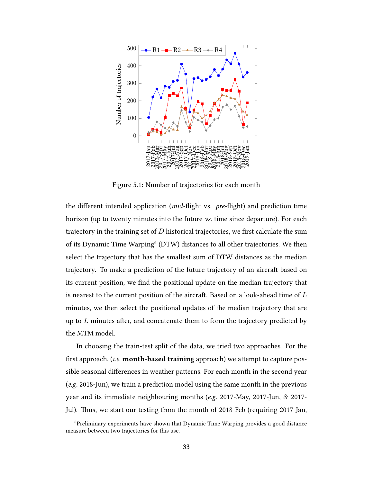

Figure 5.1: Number of trajectories for each month

the different intended application ( $mid$ -flight vs.  $pre$ -flight) and prediction time horizon (up to twenty minutes into the future vs. time since departure). For each trajectory in the training set of  $D$  historical trajectories, we first calculate the sum of its Dynamic Time Warping<sup>6</sup> (DTW) distances to all other trajectories. We then select the trajectory that has the smallest sum of DTW distances as the median trajectory. To make a prediction of the future trajectory of an aircraft based on its current position, we find the positional update on the median trajectory that is nearest to the current position of the aircraft. Based on a look-ahead time of  $L$ minutes, we then select the positional updates of the median trajectory that are up to  $L$  minutes after, and concatenate them to form the trajectory predicted by the MTM model.

In choosing the train-test split of the data, we tried two approaches. For the first approach,  $(i.e.$  month-based training approach) we attempt to capture possible seasonal differences in weather patterns. For each month in the second year (e.g. 2018-Jun), we train a prediction model using the same month in the previous year and its immediate neighbouring months (e.g. 2017-May, 2017-Jun, & 2017- Jul). Thus, we start our testing from the month of 2018-Feb (requiring 2017-Jan,

<sup>6</sup>Preliminary experiments have shown that Dynamic Time Warping provides a good distance measure between two trajectories for this use.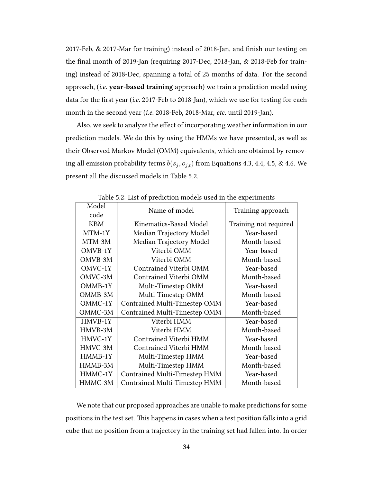2017-Feb, & 2017-Mar for training) instead of 2018-Jan, and finish our testing on the final month of 2019-Jan (requiring 2017-Dec, 2018-Jan, & 2018-Feb for training) instead of 2018-Dec, spanning a total of 25 months of data. For the second approach, (i.e. year-based training approach) we train a prediction model using data for the first year (i.e. 2017-Feb to 2018-Jan), which we use for testing for each month in the second year (i.e. 2018-Feb, 2018-Mar, etc. until 2019-Jan).

Also, we seek to analyze the effect of incorporating weather information in our prediction models. We do this by using the HMMs we have presented, as well as their Observed Markov Model (OMM) equivalents, which are obtained by removing all emission probability terms  $b(s_j,o_{j,t})$  from Equations 4.3, 4.4, 4.5, & 4.6. We present all the discussed models in Table 5.2.

| Table 5.2: List of prediction models used in the experiments |                               |                       |  |  |
|--------------------------------------------------------------|-------------------------------|-----------------------|--|--|
| Model<br>code                                                | Name of model                 | Training approach     |  |  |
| <b>KBM</b>                                                   | Kinematics-Based Model        | Training not required |  |  |
| MTM-1Y                                                       | Median Trajectory Model       | Year-based            |  |  |
| MTM-3M                                                       | Median Trajectory Model       | Month-based           |  |  |
| OMVB-1Y                                                      | Viterbi OMM                   | Year-based            |  |  |
| OMVB-3M                                                      | Viterbi OMM                   | Month-based           |  |  |
| OMVC-1Y                                                      | Contrained Viterbi OMM        | Year-based            |  |  |
| OMVC-3M                                                      | Contrained Viterbi OMM        | Month-based           |  |  |
| OMMB-1Y                                                      | Multi-Timestep OMM            | Year-based            |  |  |
| OMMB-3M                                                      | Multi-Timestep OMM            | Month-based           |  |  |
| OMMC-1Y                                                      | Contrained Multi-Timestep OMM | Year-based            |  |  |
| OMMC-3M                                                      | Contrained Multi-Timestep OMM | Month-based           |  |  |
| HMVB-1Y                                                      | Viterbi HMM                   | Year-based            |  |  |
| HMVB-3M                                                      | Viterbi HMM                   | Month-based           |  |  |
| HMVC-1Y                                                      | Contrained Viterbi HMM        | Year-based            |  |  |
| HMVC-3M                                                      | Contrained Viterbi HMM        | Month-based           |  |  |
| HMMB-1Y                                                      | Multi-Timestep HMM            | Year-based            |  |  |
| HMMB-3M                                                      | Multi-Timestep HMM            | Month-based           |  |  |
| HMMC-1Y                                                      | Contrained Multi-Timestep HMM | Year-based            |  |  |
| HMMC-3M                                                      | Contrained Multi-Timestep HMM | Month-based           |  |  |

Table 5.2: List of prediction models used in the experiments

We note that our proposed approaches are unable to make predictions for some positions in the test set. This happens in cases when a test position falls into a grid cube that no position from a trajectory in the training set had fallen into. In order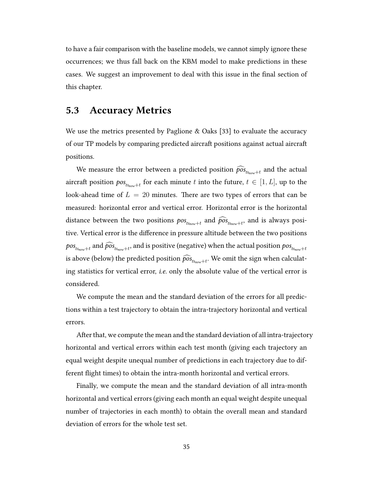to have a fair comparison with the baseline models, we cannot simply ignore these occurrences; we thus fall back on the KBM model to make predictions in these cases. We suggest an improvement to deal with this issue in the final section of this chapter.

# 5.3 Accuracy Metrics

We use the metrics presented by Paglione  $\&$  Oaks [33] to evaluate the accuracy of our TP models by comparing predicted aircraft positions against actual aircraft positions.

We measure the error between a predicted position  $\widehat{pos}_{t_{S_{now}+t}}$  and the actual aircraft position  $pos_{{}_{t s_{nov}+t}}$  for each minute  $t$  into the future,  $t \in [1,L],$  up to the look-ahead time of  $L = 20$  minutes. There are two types of errors that can be measured: horizontal error and vertical error. Horizontal error is the horizontal distance between the two positions  $pos_{ts_{now}+t}$  and  $\widehat{pos}_{ts_{now}+t}$ , and is always positive. Vertical error is the difference in pressure altitude between the two positions  $pos_{ts_{now}+t}$  and  $\widehat{pos}_{ts_{now}+t},$  and is positive (negative) when the actual position  $pos_{ts_{now}+t}$ is above (below) the predicted position  $\widehat{pos}_{_{t s_{now}+t}}.$  We omit the sign when calculating statistics for vertical error, i.e. only the absolute value of the vertical error is considered.

We compute the mean and the standard deviation of the errors for all predictions within a test trajectory to obtain the intra-trajectory horizontal and vertical errors.

After that, we compute the mean and the standard deviation of all intra-trajectory horizontal and vertical errors within each test month (giving each trajectory an equal weight despite unequal number of predictions in each trajectory due to different flight times) to obtain the intra-month horizontal and vertical errors.

Finally, we compute the mean and the standard deviation of all intra-month horizontal and vertical errors (giving each month an equal weight despite unequal number of trajectories in each month) to obtain the overall mean and standard deviation of errors for the whole test set.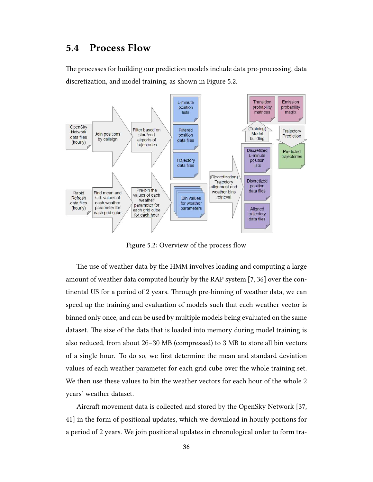# 5.4 Process Flow

The processes for building our prediction models include data pre-processing, data discretization, and model training, as shown in Figure 5.2.



Figure 5.2: Overview of the process flow

The use of weather data by the HMM involves loading and computing a large amount of weather data computed hourly by the RAP system [7, 36] over the continental US for a period of 2 years. Through pre-binning of weather data, we can speed up the training and evaluation of models such that each weather vector is binned only once, and can be used by multiple models being evaluated on the same dataset. The size of the data that is loaded into memory during model training is also reduced, from about 26–30 MB (compressed) to 3 MB to store all bin vectors of a single hour. To do so, we first determine the mean and standard deviation values of each weather parameter for each grid cube over the whole training set. We then use these values to bin the weather vectors for each hour of the whole 2 years' weather dataset.

Aircraft movement data is collected and stored by the OpenSky Network [37, 41] in the form of positional updates, which we download in hourly portions for a period of 2 years. We join positional updates in chronological order to form tra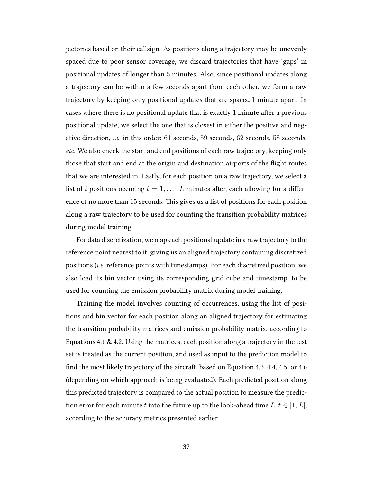jectories based on their callsign. As positions along a trajectory may be unevenly spaced due to poor sensor coverage, we discard trajectories that have 'gaps' in positional updates of longer than 5 minutes. Also, since positional updates along a trajectory can be within a few seconds apart from each other, we form a raw trajectory by keeping only positional updates that are spaced 1 minute apart. In cases where there is no positional update that is exactly  $1$  minute after a previous positional update, we select the one that is closest in either the positive and negative direction, i.e. in this order: 61 seconds, 59 seconds, 62 seconds, 58 seconds, etc. We also check the start and end positions of each raw trajectory, keeping only those that start and end at the origin and destination airports of the flight routes that we are interested in. Lastly, for each position on a raw trajectory, we select a list of t positions occuring  $t = 1, \ldots, L$  minutes after, each allowing for a difference of no more than 15 seconds. This gives us a list of positions for each position along a raw trajectory to be used for counting the transition probability matrices during model training.

For data discretization, we map each positional update in a raw trajectory to the reference point nearest to it, giving us an aligned trajectory containing discretized positions (i.e. reference points with timestamps). For each discretized position, we also load its bin vector using its corresponding grid cube and timestamp, to be used for counting the emission probability matrix during model training.

Training the model involves counting of occurrences, using the list of positions and bin vector for each position along an aligned trajectory for estimating the transition probability matrices and emission probability matrix, according to Equations 4.1  $\&$  4.2. Using the matrices, each position along a trajectory in the test set is treated as the current position, and used as input to the prediction model to find the most likely trajectory of the aircraft, based on Equation 4.3, 4.4, 4.5, or 4.6 (depending on which approach is being evaluated). Each predicted position along this predicted trajectory is compared to the actual position to measure the prediction error for each minute t into the future up to the look-ahead time  $L, t \in [1, L]$ , according to the accuracy metrics presented earlier.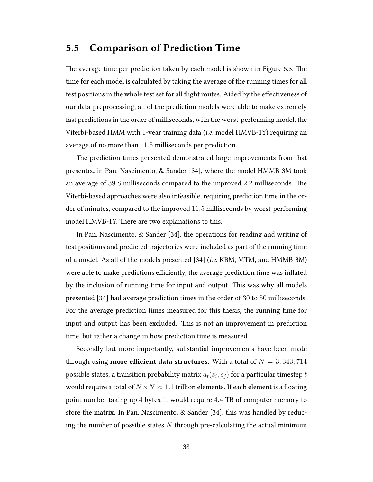# 5.5 Comparison of Prediction Time

The average time per prediction taken by each model is shown in Figure 5.3. The time for each model is calculated by taking the average of the running times for all test positions in the whole test set for all flight routes. Aided by the effectiveness of our data-preprocessing, all of the prediction models were able to make extremely fast predictions in the order of milliseconds, with the worst-performing model, the Viterbi-based HMM with 1-year training data (i.e. model HMVB-1Y) requiring an average of no more than 11.5 milliseconds per prediction.

The prediction times presented demonstrated large improvements from that presented in Pan, Nascimento, & Sander [34], where the model HMMB-3M took an average of  $39.8$  milliseconds compared to the improved  $2.2$  milliseconds. The Viterbi-based approaches were also infeasible, requiring prediction time in the order of minutes, compared to the improved 11.5 milliseconds by worst-performing model HMVB-1Y. There are two explanations to this.

In Pan, Nascimento, & Sander [34], the operations for reading and writing of test positions and predicted trajectories were included as part of the running time of a model. As all of the models presented [34] (i.e. KBM, MTM, and HMMB-3M) were able to make predictions efficiently, the average prediction time was inflated by the inclusion of running time for input and output. This was why all models presented [34] had average prediction times in the order of 30 to 50 milliseconds. For the average prediction times measured for this thesis, the running time for input and output has been excluded. This is not an improvement in prediction time, but rather a change in how prediction time is measured.

Secondly but more importantly, substantial improvements have been made through using **more efficient data structures**. With a total of  $N = 3,343,714$ possible states, a transition probability matrix  $a_t(s_i,s_j)$  for a particular timestep  $t$ would require a total of  $N \times N \approx 1.1$  trillion elements. If each element is a floating point number taking up 4 bytes, it would require 4.4 TB of computer memory to store the matrix. In Pan, Nascimento, & Sander [34], this was handled by reducing the number of possible states  $N$  through pre-calculating the actual minimum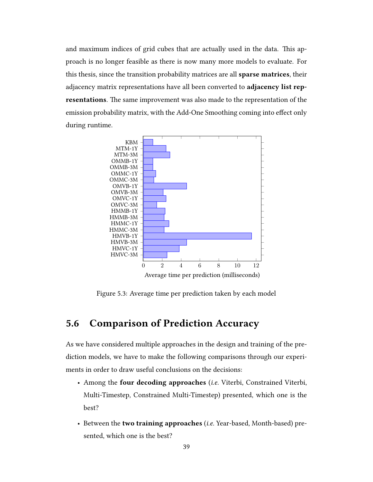and maximum indices of grid cubes that are actually used in the data. This approach is no longer feasible as there is now many more models to evaluate. For this thesis, since the transition probability matrices are all sparse matrices, their adjacency matrix representations have all been converted to adjacency list representations. The same improvement was also made to the representation of the emission probability matrix, with the Add-One Smoothing coming into effect only during runtime.



Figure 5.3: Average time per prediction taken by each model

# 5.6 Comparison of Prediction Accuracy

As we have considered multiple approaches in the design and training of the prediction models, we have to make the following comparisons through our experiments in order to draw useful conclusions on the decisions:

- Among the four decoding approaches (i.e. Viterbi, Constrained Viterbi, Multi-Timestep, Constrained Multi-Timestep) presented, which one is the best?
- Between the two training approaches (i.e. Year-based, Month-based) presented, which one is the best?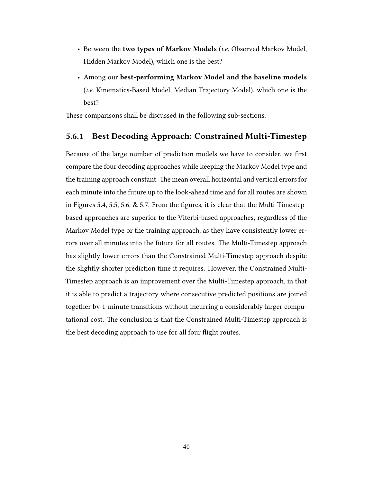- Between the two types of Markov Models (*i.e.* Observed Markov Model, Hidden Markov Model), which one is the best?
- Among our best-performing Markov Model and the baseline models (i.e. Kinematics-Based Model, Median Trajectory Model), which one is the best?

These comparisons shall be discussed in the following sub-sections.

## 5.6.1 Best Decoding Approach: Constrained Multi-Timestep

Because of the large number of prediction models we have to consider, we first compare the four decoding approaches while keeping the Markov Model type and the training approach constant. The mean overall horizontal and vertical errors for each minute into the future up to the look-ahead time and for all routes are shown in Figures 5.4, 5.5, 5.6, & 5.7. From the figures, it is clear that the Multi-Timestepbased approaches are superior to the Viterbi-based approaches, regardless of the Markov Model type or the training approach, as they have consistently lower errors over all minutes into the future for all routes. The Multi-Timestep approach has slightly lower errors than the Constrained Multi-Timestep approach despite the slightly shorter prediction time it requires. However, the Constrained Multi-Timestep approach is an improvement over the Multi-Timestep approach, in that it is able to predict a trajectory where consecutive predicted positions are joined together by 1-minute transitions without incurring a considerably larger computational cost. The conclusion is that the Constrained Multi-Timestep approach is the best decoding approach to use for all four flight routes.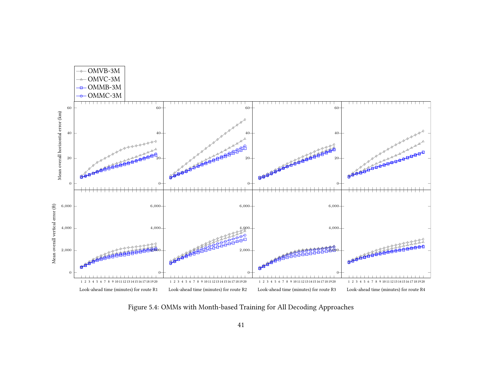

Figure 5.4: OMMs with Month-based Training for All Decoding Approaches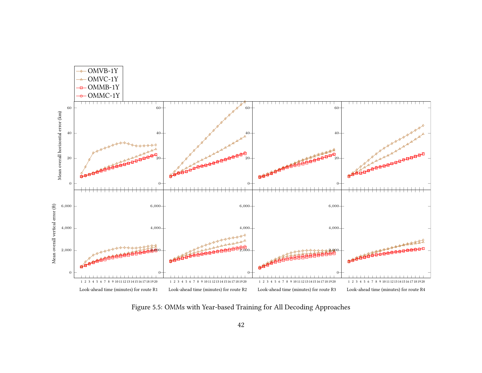

Figure 5.5: OMMs with Year-based Training for All Decoding Approaches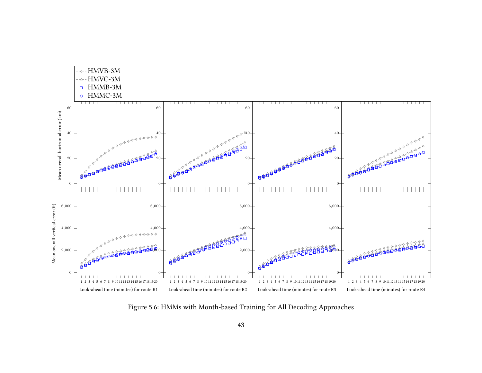

Figure 5.6: HMMs with Month-based Training for All Decoding Approaches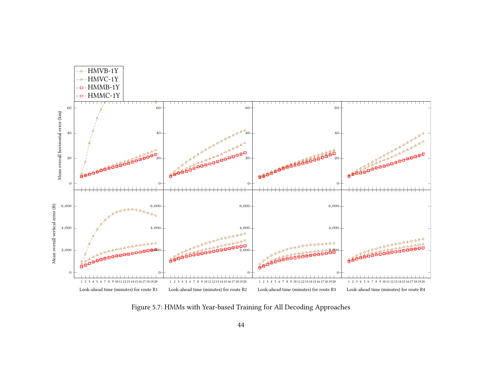

Figure 5.7: HMMs with Year-based Training for All Decoding Approaches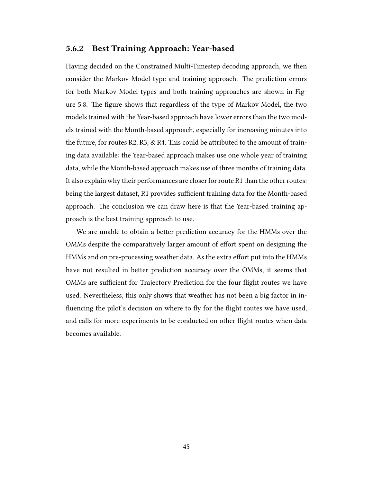## 5.6.2 Best Training Approach: Year-based

Having decided on the Constrained Multi-Timestep decoding approach, we then consider the Markov Model type and training approach. The prediction errors for both Markov Model types and both training approaches are shown in Figure 5.8. The figure shows that regardless of the type of Markov Model, the two models trained with the Year-based approach have lower errors than the two models trained with the Month-based approach, especially for increasing minutes into the future, for routes R2, R3, & R4. This could be attributed to the amount of training data available: the Year-based approach makes use one whole year of training data, while the Month-based approach makes use of three months of training data. It also explain why their performances are closer for route R1 than the other routes: being the largest dataset, R1 provides sufficient training data for the Month-based approach. The conclusion we can draw here is that the Year-based training approach is the best training approach to use.

We are unable to obtain a better prediction accuracy for the HMMs over the OMMs despite the comparatively larger amount of effort spent on designing the HMMs and on pre-processing weather data. As the extra effort put into the HMMs have not resulted in better prediction accuracy over the OMMs, it seems that OMMs are sufficient for Trajectory Prediction for the four flight routes we have used. Nevertheless, this only shows that weather has not been a big factor in influencing the pilot's decision on where to fly for the flight routes we have used, and calls for more experiments to be conducted on other flight routes when data becomes available.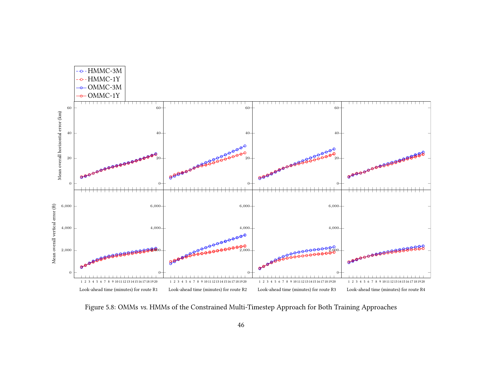

Figure 5.8: OMMs vs. HMMs of the Constrained Multi-Timestep Approach for Both Training Approaches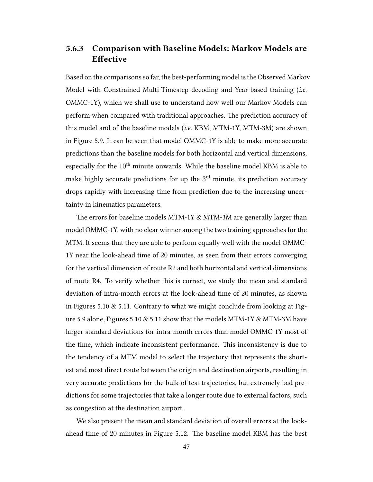# 5.6.3 Comparison with Baseline Models: Markov Models are Effective

Based on the comparisons so far, the best-performing model is the Observed Markov Model with Constrained Multi-Timestep decoding and Year-based training (i.e. OMMC-1Y), which we shall use to understand how well our Markov Models can perform when compared with traditional approaches. The prediction accuracy of this model and of the baseline models (i.e. KBM, MTM-1Y, MTM-3M) are shown in Figure 5.9. It can be seen that model OMMC-1Y is able to make more accurate predictions than the baseline models for both horizontal and vertical dimensions, especially for the  $10<sup>th</sup>$  minute onwards. While the baseline model KBM is able to make highly accurate predictions for up the  $3^{\text{rd}}$  minute, its prediction accuracy drops rapidly with increasing time from prediction due to the increasing uncertainty in kinematics parameters.

The errors for baseline models MTM-1Y  $&$  MTM-3M are generally larger than model OMMC-1Y, with no clear winner among the two training approaches for the MTM. It seems that they are able to perform equally well with the model OMMC-1Y near the look-ahead time of 20 minutes, as seen from their errors converging for the vertical dimension of route R2 and both horizontal and vertical dimensions of route R4. To verify whether this is correct, we study the mean and standard deviation of intra-month errors at the look-ahead time of 20 minutes, as shown in Figures 5.10 & 5.11. Contrary to what we might conclude from looking at Figure 5.9 alone, Figures 5.10  $\&$  5.11 show that the models MTM-1Y  $\&$  MTM-3M have larger standard deviations for intra-month errors than model OMMC-1Y most of the time, which indicate inconsistent performance. This inconsistency is due to the tendency of a MTM model to select the trajectory that represents the shortest and most direct route between the origin and destination airports, resulting in very accurate predictions for the bulk of test trajectories, but extremely bad predictions for some trajectories that take a longer route due to external factors, such as congestion at the destination airport.

We also present the mean and standard deviation of overall errors at the lookahead time of 20 minutes in Figure 5.12. The baseline model KBM has the best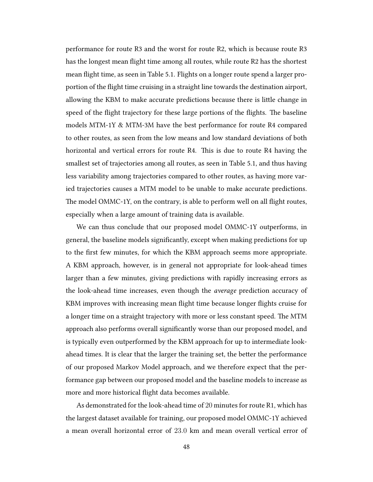performance for route R3 and the worst for route R2, which is because route R3 has the longest mean flight time among all routes, while route R2 has the shortest mean flight time, as seen in Table 5.1. Flights on a longer route spend a larger proportion of the flight time cruising in a straight line towards the destination airport, allowing the KBM to make accurate predictions because there is little change in speed of the flight trajectory for these large portions of the flights. The baseline models MTM-1Y & MTM-3M have the best performance for route R4 compared to other routes, as seen from the low means and low standard deviations of both horizontal and vertical errors for route R4. This is due to route R4 having the smallest set of trajectories among all routes, as seen in Table 5.1, and thus having less variability among trajectories compared to other routes, as having more varied trajectories causes a MTM model to be unable to make accurate predictions. The model OMMC-1Y, on the contrary, is able to perform well on all flight routes, especially when a large amount of training data is available.

We can thus conclude that our proposed model OMMC-1Y outperforms, in general, the baseline models significantly, except when making predictions for up to the first few minutes, for which the KBM approach seems more appropriate. A KBM approach, however, is in general not appropriate for look-ahead times larger than a few minutes, giving predictions with rapidly increasing errors as the look-ahead time increases, even though the average prediction accuracy of KBM improves with increasing mean flight time because longer flights cruise for a longer time on a straight trajectory with more or less constant speed. The MTM approach also performs overall significantly worse than our proposed model, and is typically even outperformed by the KBM approach for up to intermediate lookahead times. It is clear that the larger the training set, the better the performance of our proposed Markov Model approach, and we therefore expect that the performance gap between our proposed model and the baseline models to increase as more and more historical flight data becomes available.

As demonstrated for the look-ahead time of 20 minutes for route R1, which has the largest dataset available for training, our proposed model OMMC-1Y achieved a mean overall horizontal error of 23.0 km and mean overall vertical error of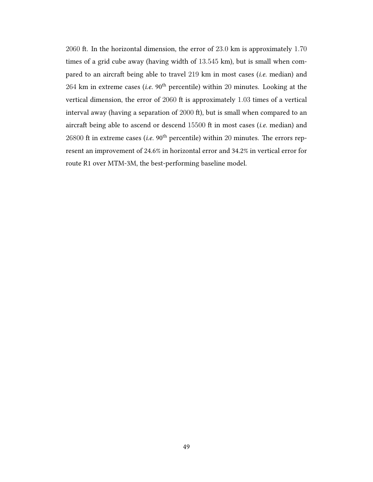2060 ft. In the horizontal dimension, the error of  $23.0 \text{ km}$  is approximately  $1.70$ times of a grid cube away (having width of 13.545 km), but is small when compared to an aircraft being able to travel 219 km in most cases (i.e. median) and 264 km in extreme cases (i.e.  $90<sup>th</sup>$  percentile) within 20 minutes. Looking at the vertical dimension, the error of  $2060$  ft is approximately  $1.03$  times of a vertical interval away (having a separation of 2000 ft), but is small when compared to an aircraft being able to ascend or descend  $15500$  ft in most cases (*i.e.* median) and 26800 ft in extreme cases (*i.e.* 90<sup>th</sup> percentile) within 20 minutes. The errors represent an improvement of 24.6% in horizontal error and 34.2% in vertical error for route R1 over MTM-3M, the best-performing baseline model.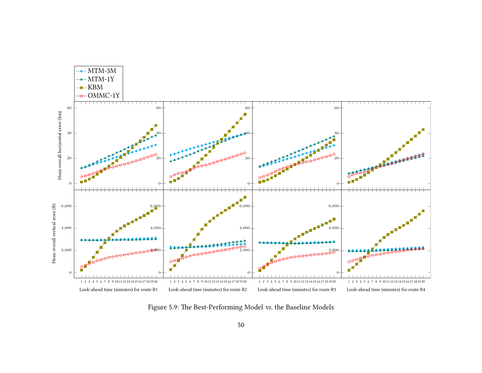

Figure 5.9: The Best-Performing Model vs. the Baseline Models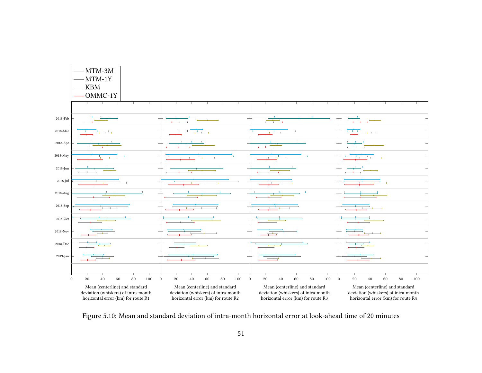

Figure 5.10: Mean and standard deviation of intra-month horizontal error at look-ahead time of 20 minutes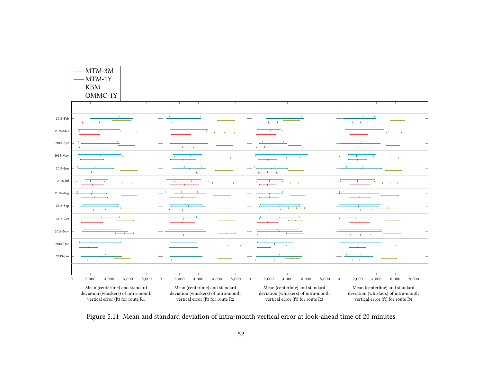

Figure 5.11: Mean and standard deviation of intra-month vertical error at look-ahead time of 20 minutes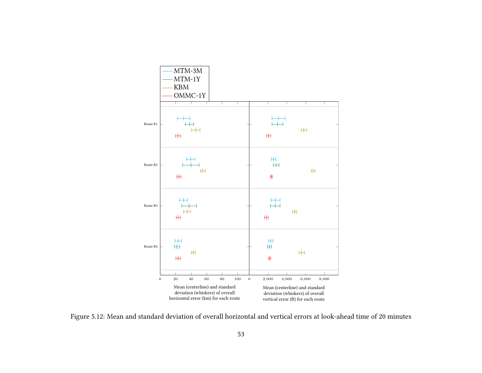

Figure 5.12: Mean and standard deviation of overall horizontal and vertical errors at look-ahead time of 20 minutes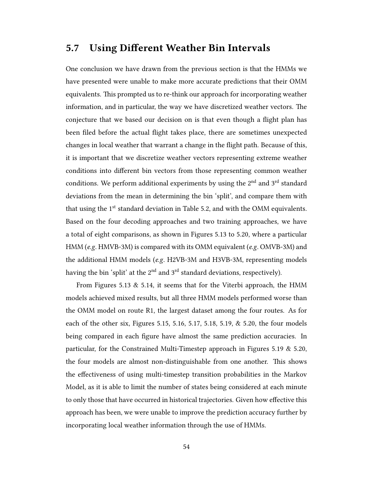# 5.7 Using Different Weather Bin Intervals

One conclusion we have drawn from the previous section is that the HMMs we have presented were unable to make more accurate predictions that their OMM equivalents. This prompted us to re-think our approach for incorporating weather information, and in particular, the way we have discretized weather vectors. The conjecture that we based our decision on is that even though a flight plan has been filed before the actual flight takes place, there are sometimes unexpected changes in local weather that warrant a change in the flight path. Because of this, it is important that we discretize weather vectors representing extreme weather conditions into different bin vectors from those representing common weather conditions. We perform additional experiments by using the 2<sup>nd</sup> and 3<sup>rd</sup> standard deviations from the mean in determining the bin 'split', and compare them with that using the  $1<sup>st</sup>$  standard deviation in Table 5.2, and with the OMM equivalents. Based on the four decoding approaches and two training approaches, we have a total of eight comparisons, as shown in Figures 5.13 to 5.20, where a particular HMM (e.g. HMVB-3M) is compared with its OMM equivalent (e.g. OMVB-3M) and the additional HMM models (e.g. H2VB-3M and H3VB-3M, representing models having the bin 'split' at the  $2<sup>nd</sup>$  and  $3<sup>rd</sup>$  standard deviations, respectively).

From Figures 5.13 & 5.14, it seems that for the Viterbi approach, the HMM models achieved mixed results, but all three HMM models performed worse than the OMM model on route R1, the largest dataset among the four routes. As for each of the other six, Figures 5.15, 5.16, 5.17, 5.18, 5.19, & 5.20, the four models being compared in each figure have almost the same prediction accuracies. In particular, for the Constrained Multi-Timestep approach in Figures 5.19 & 5.20, the four models are almost non-distinguishable from one another. This shows the effectiveness of using multi-timestep transition probabilities in the Markov Model, as it is able to limit the number of states being considered at each minute to only those that have occurred in historical trajectories. Given how effective this approach has been, we were unable to improve the prediction accuracy further by incorporating local weather information through the use of HMMs.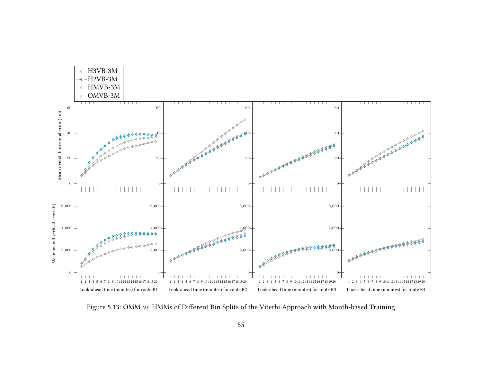

Figure 5.13: OMM vs. HMMs of Different Bin Splits of the Viterbi Approach with Month-based Training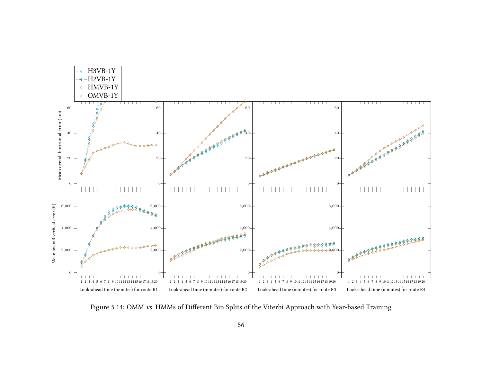

Figure 5.14: OMM vs. HMMs of Different Bin Splits of the Viterbi Approach with Year-based Training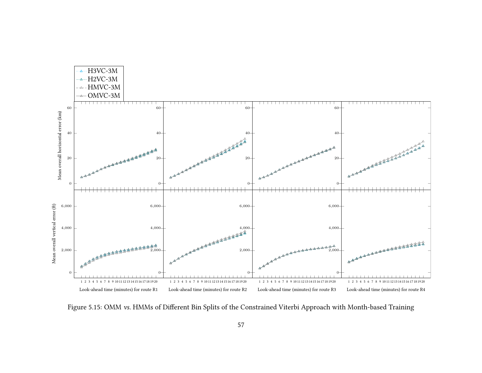

Figure 5.15: OMM vs. HMMs of Different Bin Splits of the Constrained Viterbi Approach with Month-based Training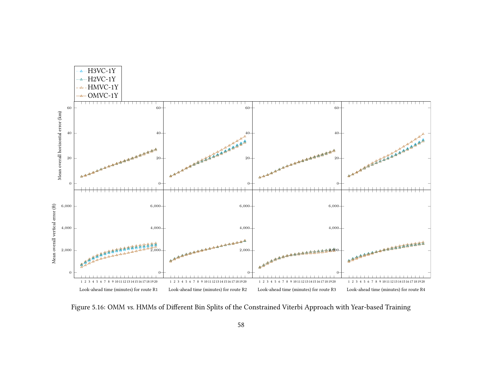

Figure 5.16: OMM vs. HMMs of Different Bin Splits of the Constrained Viterbi Approach with Year-based Training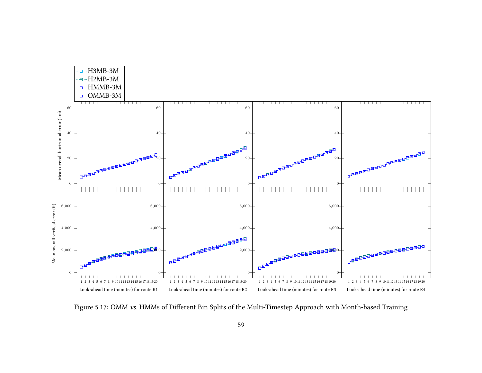

Figure 5.17: OMM vs. HMMs of Different Bin Splits of the Multi-Timestep Approach with Month-based Training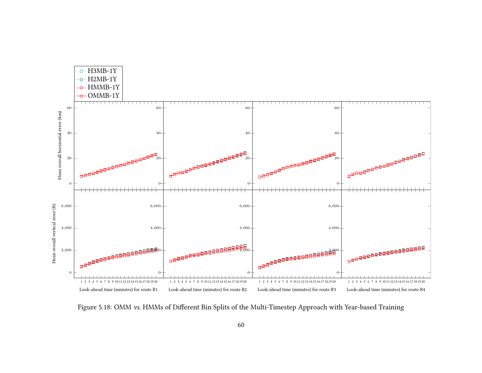

Figure 5.18: OMM vs. HMMs of Different Bin Splits of the Multi-Timestep Approach with Year-based Training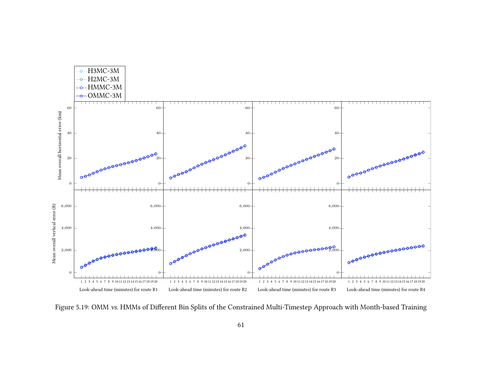

Figure 5.19: OMM vs. HMMs of Different Bin Splits of the Constrained Multi-Timestep Approach with Month-based Training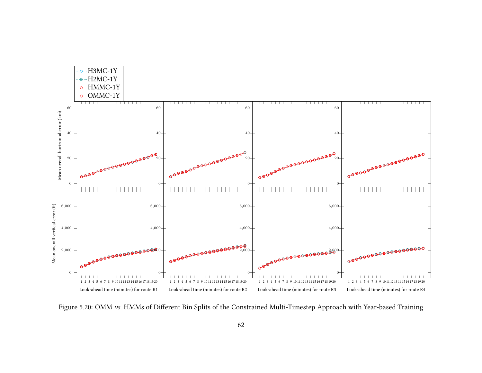

Figure 5.20: OMM vs. HMMs of Different Bin Splits of the Constrained Multi-Timestep Approach with Year-based Training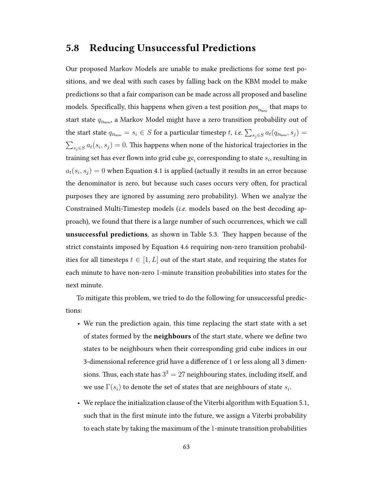## 5.8 Reducing Unsuccessful Predictions

Our proposed Markov Models are unable to make predictions for some test positions, and we deal with such cases by falling back on the KBM model to make predictions so that a fair comparison can be made across all proposed and baseline models. Specifically, this happens when given a test position  $\mathit{pos}_{_{t s_{now}}}$  that maps to start state  $q_{ts_{now}}$ , a Markov Model might have a zero transition probability out of the start state  $q_{ts_{now}} = s_i \in S$  for a particular timestep t, i.e.  $\sum_{s_j \in S} a_t(q_{ts_{now}}, s_j) =$  $\sum_{s_j \in S} a_t(s_i,s_j) = 0.$  This happens when none of the historical trajectories in the training set has ever flown into grid cube  $\mathit{gc}_i$  corresponding to state  $s_i$ , resulting in  $a_t(s_i,s_j)=0$  when Equation 4.1 is applied (actually it results in an error because the denominator is zero, but because such cases occurs very often, for practical purposes they are ignored by assuming zero probability). When we analyze the Constrained Multi-Timestep models (i.e. models based on the best decoding approach), we found that there is a large number of such occurrences, which we call unsuccessful predictions, as shown in Table 5.3. They happen because of the strict constaints imposed by Equation 4.6 requiring non-zero transition probabilities for all timesteps  $t \in [1, L]$  out of the start state, and requiring the states for each minute to have non-zero 1-minute transition probabilities into states for the next minute.

To mitigate this problem, we tried to do the following for unsuccessful predictions:

- We run the prediction again, this time replacing the start state with a set of states formed by the neighbours of the start state, where we define two states to be neighbours when their corresponding grid cube indices in our 3-dimensional reference grid have a difference of 1 or less along all 3 dimensions. Thus, each state has  $3^3 = 27$  neighbouring states, including itself, and we use  $\Gamma(s_i)$  to denote the set of states that are neighbours of state  $s_i.$
- We replace the initialization clause of the Viterbi algorithm with Equation 5.1, such that in the first minute into the future, we assign a Viterbi probability to each state by taking the maximum of the 1-minute transition probabilities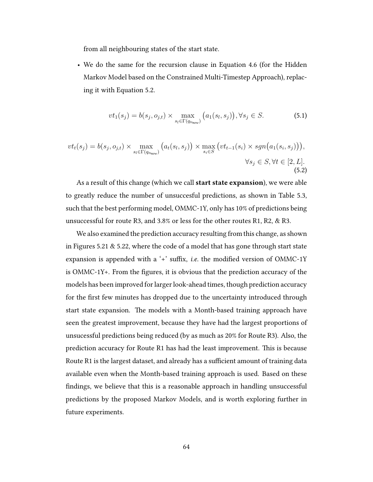from all neighbouring states of the start state.

• We do the same for the recursion clause in Equation 4.6 (for the Hidden Markov Model based on the Constrained Multi-Timestep Approach), replacing it with Equation 5.2.

$$
vt_1(s_j) = b(s_j, o_{j,t}) \times \max_{s_l \in \Gamma(q_{ts_{now}})} (a_1(s_l, s_j)), \forall s_j \in S.
$$
 (5.1)

$$
vt_t(s_j) = b(s_j, o_{j,t}) \times \max_{s_t \in \Gamma(q_{\text{lsnow}})} \left( a_t(s_t, s_j) \right) \times \max_{s_i \in S} \left( vt_{t-1}(s_i) \times sgn\big(a_1(s_i, s_j)\big) \right),
$$
  

$$
\forall s_j \in S, \forall t \in [2, L].
$$
\n(5.2)

As a result of this change (which we call **start state expansion**), we were able to greatly reduce the number of unsuccesful predictions, as shown in Table 5.3, such that the best performing model, OMMC-1Y, only has 10% of predictions being unsuccessful for route R3, and 3.8% or less for the other routes R1, R2, & R3.

We also examined the prediction accuracy resulting from this change, as shown in Figures 5.21  $\&$  5.22, where the code of a model that has gone through start state expansion is appended with a '+' suffix, *i.e.* the modified version of OMMC-1Y is OMMC-1Y+. From the figures, it is obvious that the prediction accuracy of the models has been improved for larger look-ahead times, though prediction accuracy for the first few minutes has dropped due to the uncertainty introduced through start state expansion. The models with a Month-based training approach have seen the greatest improvement, because they have had the largest proportions of unsucessful predictions being reduced (by as much as 20% for Route R3). Also, the prediction accuracy for Route R1 has had the least improvement. This is because Route R1 is the largest dataset, and already has a sufficient amount of training data available even when the Month-based training approach is used. Based on these findings, we believe that this is a reasonable approach in handling unsuccessful predictions by the proposed Markov Models, and is worth exploring further in future experiments.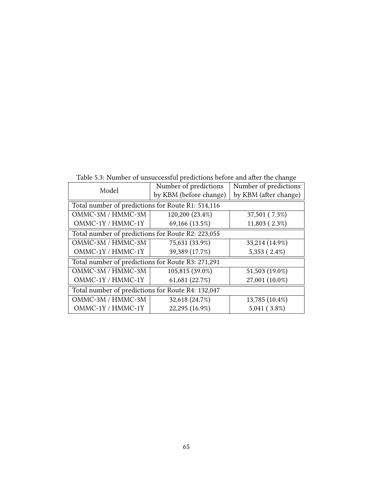Table 5.3: Number of unsuccessful predictions before and after the change

| Model                                             | Number of predictions  | Number of predictions |  |  |  |
|---------------------------------------------------|------------------------|-----------------------|--|--|--|
|                                                   | by KBM (before change) | by KBM (after change) |  |  |  |
| Total number of predictions for Route R1: 514,116 |                        |                       |  |  |  |
| OMMC-3M / HMMC-3M                                 | 120,200 (23.4%)        | 37,501 (7.3%)         |  |  |  |
| OMMC-1Y / HMMC-1Y                                 | 69,166 (13.5%)         | 11,803 (2.3%)         |  |  |  |
| Total number of predictions for Route R2: 223,055 |                        |                       |  |  |  |
| OMMC-3M / HMMC-3M                                 | 75,631 (33.9%)         | 33,214 (14.9%)        |  |  |  |
| OMMC-1Y / HMMC-1Y                                 | 39,389 (17.7%)         | 5,353 (2.4%)          |  |  |  |
| Total number of predictions for Route R3: 271,291 |                        |                       |  |  |  |
| OMMC-3M / HMMC-3M                                 | 105,815 (39.0%)        | 51,503 (19.0%)        |  |  |  |
| OMMC-1Y / HMMC-1Y                                 | 61,681 (22.7%)         | 27,001 (10.0%)        |  |  |  |
| Total number of predictions for Route R4: 132,047 |                        |                       |  |  |  |
| OMMC-3M / HMMC-3M                                 | 32,618 (24.7%)         | 13,785 (10.4%)        |  |  |  |
| OMMC-1Y / HMMC-1Y                                 | 22,295 (16.9%)         | 5,041 (3.8%)          |  |  |  |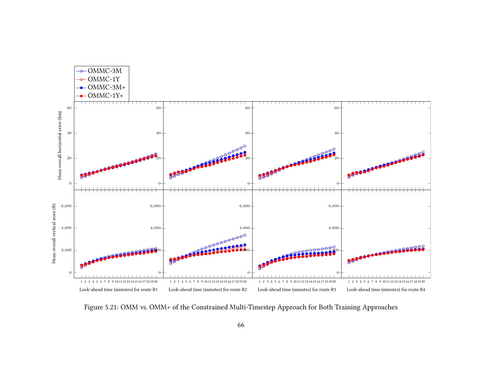

Figure 5.21: OMM vs. OMM+ of the Constrained Multi-Timestep Approach for Both Training Approaches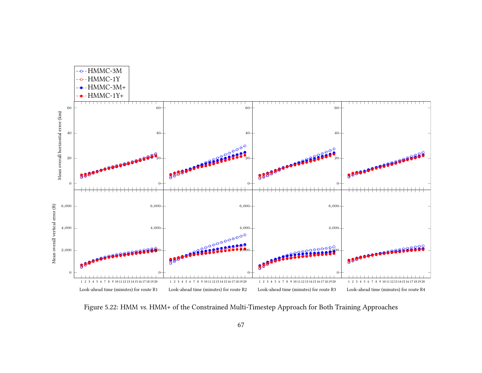

Figure 5.22: HMM vs. HMM+ of the Constrained Multi-Timestep Approach for Both Training Approaches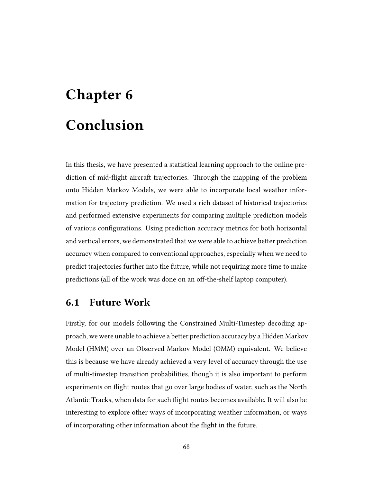## Chapter 6 Conclusion

In this thesis, we have presented a statistical learning approach to the online prediction of mid-flight aircraft trajectories. Through the mapping of the problem onto Hidden Markov Models, we were able to incorporate local weather information for trajectory prediction. We used a rich dataset of historical trajectories and performed extensive experiments for comparing multiple prediction models of various configurations. Using prediction accuracy metrics for both horizontal and vertical errors, we demonstrated that we were able to achieve better prediction accuracy when compared to conventional approaches, especially when we need to predict trajectories further into the future, while not requiring more time to make predictions (all of the work was done on an off-the-shelf laptop computer).

## 6.1 Future Work

Firstly, for our models following the Constrained Multi-Timestep decoding approach, we were unable to achieve a better prediction accuracy by a Hidden Markov Model (HMM) over an Observed Markov Model (OMM) equivalent. We believe this is because we have already achieved a very level of accuracy through the use of multi-timestep transition probabilities, though it is also important to perform experiments on flight routes that go over large bodies of water, such as the North Atlantic Tracks, when data for such flight routes becomes available. It will also be interesting to explore other ways of incorporating weather information, or ways of incorporating other information about the flight in the future.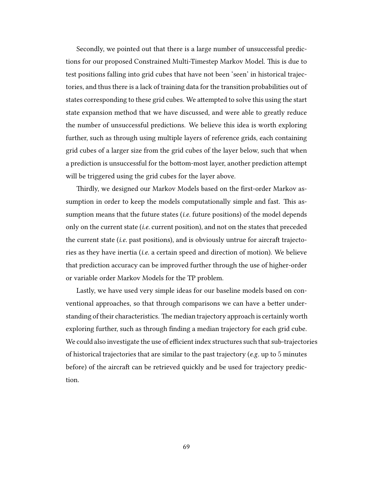Secondly, we pointed out that there is a large number of unsuccessful predictions for our proposed Constrained Multi-Timestep Markov Model. This is due to test positions falling into grid cubes that have not been 'seen' in historical trajectories, and thus there is a lack of training data for the transition probabilities out of states corresponding to these grid cubes. We attempted to solve this using the start state expansion method that we have discussed, and were able to greatly reduce the number of unsuccessful predictions. We believe this idea is worth exploring further, such as through using multiple layers of reference grids, each containing grid cubes of a larger size from the grid cubes of the layer below, such that when a prediction is unsuccessful for the bottom-most layer, another prediction attempt will be triggered using the grid cubes for the layer above.

Thirdly, we designed our Markov Models based on the first-order Markov assumption in order to keep the models computationally simple and fast. This assumption means that the future states *(i.e.* future positions) of the model depends only on the current state (i.e. current position), and not on the states that preceded the current state (*i.e.* past positions), and is obviously untrue for aircraft trajectories as they have inertia (i.e. a certain speed and direction of motion). We believe that prediction accuracy can be improved further through the use of higher-order or variable order Markov Models for the TP problem.

Lastly, we have used very simple ideas for our baseline models based on conventional approaches, so that through comparisons we can have a better understanding of their characteristics. The median trajectory approach is certainly worth exploring further, such as through finding a median trajectory for each grid cube. We could also investigate the use of efficient index structures such that sub-trajectories of historical trajectories that are similar to the past trajectory ( $e.g.$  up to  $5$  minutes before) of the aircraft can be retrieved quickly and be used for trajectory prediction.

69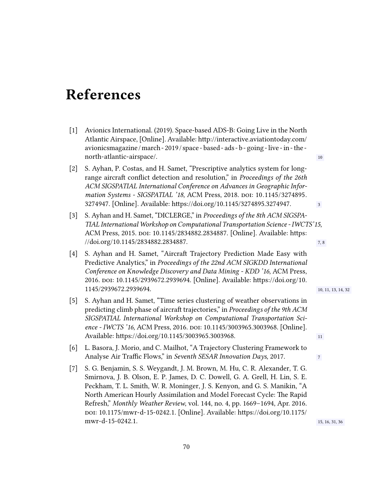## References

- [1] Avionics International. (2019). Space-based ADS-B: Going Live in the North Atlantic Airspace, [Online]. Available: http://interactive.aviationtoday.com/ avionicsmagazine /march - 2019 / space - based - ads - b - going - live - in - the north-atlantic-airspace/. 10
- [2] S. Ayhan, P. Costas, and H. Samet, "Prescriptive analytics system for longrange aircraft conflict detection and resolution," in Proceedings of the 26th ACM SIGSPATIAL International Conference on Advances in Geographic Information Systems - SIGSPATIAL '18, ACM Press, 2018. DOI: 10.1145/3274895. 3274947. [Online]. Available: https://doi.org/10.1145/3274895.3274947. 3
- [3] S. Ayhan and H. Samet, "DICLERGE," in Proceedings of the 8th ACM SIGSPA-TIAL International Workshop on Computational Transportation Science - IWCTS'15, ACM Press, 2015. poi: 10.1145/2834882.2834887. [Online]. Available: https:  $\frac{1}{\sqrt{60}}$ .org/10.1145/2834882.2834887.
- [4] S. Ayhan and H. Samet, "Aircraft Trajectory Prediction Made Easy with Predictive Analytics," in Proceedings of the 22nd ACM SIGKDD International Conference on Knowledge Discovery and Data Mining - KDD '16, ACM Press, 2016. poi: 10.1145/2939672.2939694. [Online]. Available: https://doi.org/10. 1145/2939672.2939694. 10, 11, 13, 14, 32
- [5] S. Ayhan and H. Samet, "Time series clustering of weather observations in predicting climb phase of aircraft trajectories," in Proceedings of the 9th ACM SIGSPATIAL International Workshop on Computational Transportation Science - IWCTS '16, ACM Press, 2016. doi: 10.1145/3003965.3003968. [Online]. Available: https://doi.org/10.1145/3003965.3003968. 11
- [6] L. Basora, J. Morio, and C. Mailhot, "A Trajectory Clustering Framework to Analyse Air Traffic Flows," in Seventh SESAR Innovation Days, 2017.
- [7] S. G. Benjamin, S. S. Weygandt, J. M. Brown, M. Hu, C. R. Alexander, T. G. Smirnova, J. B. Olson, E. P. James, D. C. Dowell, G. A. Grell, H. Lin, S. E. Peckham, T. L. Smith, W. R. Moninger, J. S. Kenyon, and G. S. Manikin, "A North American Hourly Assimilation and Model Forecast Cycle: The Rapid Refresh," Monthly Weather Review, vol. 144, no. 4, pp. 1669–1694, Apr. 2016. doi: 10.1175/mwr-d-15-0242.1. [Online]. Available: https://doi.org/10.1175/ mwr-d-15-0242.1. 15, 16, 31, 36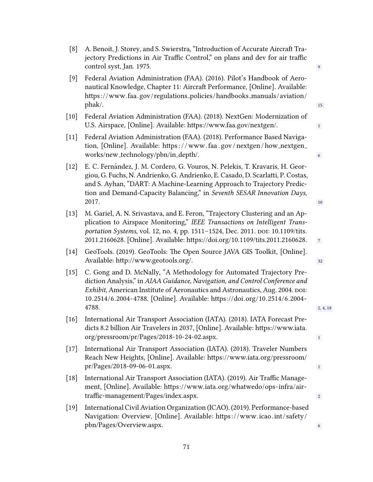| [8]    | A. Benoit, J. Storey, and S. Swierstra, "Introduction of Accurate Aircraft Tra-<br>jectory Predictions in Air Traffic Control," on plans and dev for air traffic<br>control syst, Jan. 1975.                                                                                                                                   | 9              |
|--------|--------------------------------------------------------------------------------------------------------------------------------------------------------------------------------------------------------------------------------------------------------------------------------------------------------------------------------|----------------|
| [9]    | Federal Aviation Administration (FAA). (2016). Pilot's Handbook of Aero-<br>nautical Knowledge, Chapter 11: Aircraft Performance, [Online]. Available:<br>https://www.faa.gov/regulations_policies/handbooks_manuals/aviation/<br>phak/.                                                                                       | 15             |
| $[10]$ | Federal Aviation Administration (FAA). (2018). NextGen: Modernization of<br>U.S. Airspace, [Online]. Available: https://www.faa.gov/nextgen/.                                                                                                                                                                                  | $1\,$          |
| $[11]$ | Federal Aviation Administration (FAA). (2018). Performance Based Naviga-<br>tion, [Online]. Available: https://www.faa.gov/nextgen/how_nextgen_<br>works/new_technology/pbn/in_depth/.                                                                                                                                         | 6              |
| $[12]$ | E. C. Fernández, J. M. Cordero, G. Vouros, N. Pelekis, T. Kravaris, H. Geor-<br>giou, G. Fuchs, N. Andrienko, G. Andrienko, E. Casado, D. Scarlatti, P. Costas,<br>and S. Ayhan, "DART: A Machine-Learning Approach to Trajectory Predic-<br>tion and Demand-Capacity Balancing," in Seventh SESAR Innovation Days,<br>2017.   | 10             |
| $[13]$ | M. Gariel, A. N. Srivastava, and E. Feron, "Trajectory Clustering and an Ap-<br>plication to Airspace Monitoring," IEEE Transactions on Intelligent Trans-<br>portation Systems, vol. 12, no. 4, pp. 1511-1524, Dec. 2011. DOI: 10.1109/tits.<br>2011.2160628. [Online]. Available: https://doi.org/10.1109/tits.2011.2160628. | $7\phantom{.}$ |
| $[14]$ | GeoTools. (2019). GeoTools: The Open Source JAVA GIS Toolkit, [Online].<br>Available: http://www.geotools.org/.                                                                                                                                                                                                                | 32             |
| $[15]$ | C. Gong and D. McNally, "A Methodology for Automated Trajectory Pre-<br>diction Analysis," in AIAA Guidance, Navigation, and Control Conference and<br>Exhibit, American Institute of Aeronautics and Astronautics, Aug. 2004. DOI:<br>10.2514/6.2004-4788. [Online]. Available: https://doi.org/10.2514/6.2004-<br>4788.      | 2, 4, 18       |
|        | [16] International Air Transport Association (IATA). (2018). IATA Forecast Pre-<br>dicts 8.2 billion Air Travelers in 2037, [Online]. Available: https://www.iata.<br>org/pressroom/pr/Pages/2018-10-24-02.aspx.                                                                                                               | $\mathbf{1}$   |
| $[17]$ | International Air Transport Association (IATA). (2018). Traveler Numbers<br>Reach New Heights, [Online]. Available: https://www.iata.org/pressroom/<br>pr/Pages/2018-09-06-01.aspx.                                                                                                                                            | $\mathbf{1}$   |
| $[18]$ | International Air Transport Association (IATA). (2019). Air Traffic Manage-<br>ment, [Online]. Available: https://www.iata.org/whatwedo/ops-infra/air-<br>traffic-management/Pages/index.aspx.                                                                                                                                 | $\mathbf{2}$   |
| $[19]$ | International Civil Aviation Organization (ICAO). (2019). Performance-based<br>Navigation: Overview, [Online]. Available: https://www.icao.int/safety/<br>pbn/Pages/Overview.aspx.                                                                                                                                             | 6              |
|        |                                                                                                                                                                                                                                                                                                                                |                |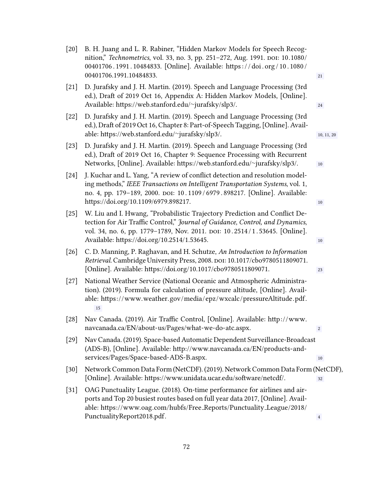| [20]   | B. H. Juang and L. R. Rabiner, "Hidden Markov Models for Speech Recog-<br>nition," Technometrics, vol. 33, no. 3, pp. 251-272, Aug. 1991. DOI: 10.1080/<br>00401706.1991.10484833. [Online]. Available: https://doi.org/10.1080/<br>00401706.1991.10484833.                             | 21             |
|--------|-----------------------------------------------------------------------------------------------------------------------------------------------------------------------------------------------------------------------------------------------------------------------------------------|----------------|
| $[21]$ | D. Jurafsky and J. H. Martin. (2019). Speech and Language Processing (3rd<br>ed.), Draft of 2019 Oct 16, Appendix A: Hidden Markov Models, [Online].<br>Available: https://web.stanford.edu/~jurafsky/slp3/.                                                                            | 24             |
| $[22]$ | D. Jurafsky and J. H. Martin. (2019). Speech and Language Processing (3rd<br>ed.), Draft of 2019 Oct 16, Chapter 8: Part-of-Speech Tagging, [Online]. Avail-<br>able: https://web.stanford.edu/~jurafsky/slp3/.                                                                         | 10, 11, 20     |
| $[23]$ | D. Jurafsky and J. H. Martin. (2019). Speech and Language Processing (3rd<br>ed.), Draft of 2019 Oct 16, Chapter 9: Sequence Processing with Recurrent<br>Networks, [Online]. Available: https://web.stanford.edu/~jurafsky/slp3/.                                                      | 10             |
| $[24]$ | J. Kuchar and L. Yang, "A review of conflict detection and resolution model-<br>ing methods," IEEE Transactions on Intelligent Transportation Systems, vol. 1,<br>no. 4, pp. 179-189, 2000. DOI: 10.1109/6979.898217. [Online]. Available:<br>https://doi.org/10.1109/6979.898217.      | 10             |
| $[25]$ | W. Liu and I. Hwang, "Probabilistic Trajectory Prediction and Conflict De-<br>tection for Air Traffic Control," Journal of Guidance, Control, and Dynamics,<br>vol. 34, no. 6, pp. 1779-1789, Nov. 2011. DOI: 10.2514/1.53645. [Online].<br>Available: https://doi.org/10.2514/1.53645. | 10             |
| $[26]$ | C. D. Manning, P. Raghavan, and H. Schutze, An Introduction to Information<br>Retrieval. Cambridge University Press, 2008. DOI: 10.1017/cbo9780511809071.<br>[Online]. Available: https://doi.org/10.1017/cbo9780511809071.                                                             | 23             |
| $[27]$ | National Weather Service (National Oceanic and Atmospheric Administra-<br>tion). (2019). Formula for calculation of pressure altitude, [Online]. Avail-<br>able: https://www.weather.gov/media/epz/wxcalc/pressureAltitude.pdf.<br>15                                                   |                |
|        | [28] Nav Canada. (2019). Air Traffic Control, [Online]. Available: http://www.<br>navcanada.ca/EN/about-us/Pages/what-we-do-atc.aspx.                                                                                                                                                   | $\sqrt{2}$     |
| [29]   | Nav Canada. (2019). Space-based Automatic Dependent Surveillance-Broadcast<br>(ADS-B), [Online]. Available: http://www.navcanada.ca/EN/products-and-<br>services/Pages/Space-based-ADS-B.aspx.                                                                                          | 10             |
| [30]   | Network Common Data Form (NetCDF). (2019). Network Common Data Form (NetCDF),<br>[Online]. Available: https://www.unidata.ucar.edu/software/netcdf/.                                                                                                                                    | 32             |
| $[31]$ | OAG Punctuality League. (2018). On-time performance for airlines and air-<br>ports and Top 20 busiest routes based on full year data 2017, [Online]. Avail-<br>able: https://www.oag.com/hubfs/Free_Reports/Punctuality_League/2018/                                                    |                |
|        | PunctualityReport2018.pdf.                                                                                                                                                                                                                                                              | $\overline{4}$ |

72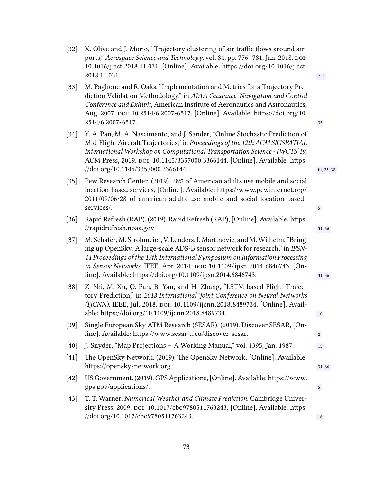| $[32]$ | X. Olive and J. Morio, "Trajectory clustering of air traffic flows around air-<br>ports," Aerospace Science and Technology, vol. 84, pp. 776-781, Jan. 2018. DOI:<br>10.1016/j.ast.2018.11.031. [Online]. Available: https://doi.org/10.1016/j.ast.<br>2018.11.031.                                                                                                                      | 7, 8            |
|--------|------------------------------------------------------------------------------------------------------------------------------------------------------------------------------------------------------------------------------------------------------------------------------------------------------------------------------------------------------------------------------------------|-----------------|
| $[33]$ | M. Paglione and R. Oaks, "Implementation and Metrics for a Trajectory Pre-<br>diction Validation Methodology," in AIAA Guidance, Navigation and Control<br>Conference and Exhibit, American Institute of Aeronautics and Astronautics,<br>Aug. 2007. DOI: 10.2514/6.2007-6517. [Online]. Available: https://doi.org/10.<br>2514/6.2007-6517.                                             | 35              |
| $[34]$ | Y. A. Pan, M. A. Nascimento, and J. Sander, "Online Stochastic Prediction of<br>Mid-Flight Aircraft Trajectories," in Proceedings of the 12th ACM SIGSPATIAL<br>International Workshop on Computational Transportation Science - IWCTS'19,<br>ACM Press, 2019. DOI: 10.1145/3357000.3366144. [Online]. Available: https:<br>//doi.org/10.1145/3357000.3366144.                           | iii, 25, 38     |
| $[35]$ | Pew Research Center. (2019). 28% of American adults use mobile and social<br>location-based services, [Online]. Available: https://www.pewinternet.org/<br>2011/09/06/28-of-american-adults-use-mobile-and-social-location-based-<br>services/.                                                                                                                                          | $5\phantom{.0}$ |
| $[36]$ | Rapid Refresh (RAP). (2019). Rapid Refresh (RAP), [Online]. Available: https:<br>//rapidrefresh.noaa.gov.                                                                                                                                                                                                                                                                                | 31, 36          |
| $[37]$ | M. Schafer, M. Strohmeier, V. Lenders, I. Martinovic, and M. Wilhelm, "Bring-<br>ing up OpenSky: A large-scale ADS-B sensor network for research," in IPSN-<br>14 Proceedings of the 13th International Symposium on Information Processing<br>in Sensor Networks, IEEE, Apr. 2014. DOI: 10.1109/ipsn.2014.6846743. [On-<br>line]. Available: https://doi.org/10.1109/ipsn.2014.6846743. | 31, 36          |
| $[38]$ | Z. Shi, M. Xu, Q. Pan, B. Yan, and H. Zhang, "LSTM-based Flight Trajec-<br>tory Prediction," in 2018 International Joint Conference on Neural Networks<br>(IJCNN), IEEE, Jul. 2018. DOI: 10.1109/ijcnn.2018.8489734. [Online]. Avail-<br>able: https://doi.org/10.1109/ijcnn.2018.8489734.                                                                                               | 10              |
| $[39]$ | Single European Sky ATM Research (SESAR). (2019). Discover SESAR, [On-<br>line]. Available: https://www.sesarju.eu/discover-sesar.                                                                                                                                                                                                                                                       | $\mathbf{2}$    |
| $[40]$ | J. Snyder, "Map Projections - A Working Manual," vol. 1395, Jan. 1987.                                                                                                                                                                                                                                                                                                                   | 15              |
| [41]   | The OpenSky Network. (2019). The OpenSky Network, [Online]. Available:<br>https://opensky-network.org.                                                                                                                                                                                                                                                                                   | 31, 36          |
| $[42]$ | US Government. (2019). GPS Applications, [Online]. Available: https://www.<br>gps.gov/applications/.                                                                                                                                                                                                                                                                                     | 5               |
| [43]   | T. T. Warner, Numerical Weather and Climate Prediction. Cambridge Univer-<br>sity Press, 2009. DOI: 10.1017/cb09780511763243. [Online]. Available: https:<br>//doi.org/10.1017/cbo9780511763243.                                                                                                                                                                                         | 16              |